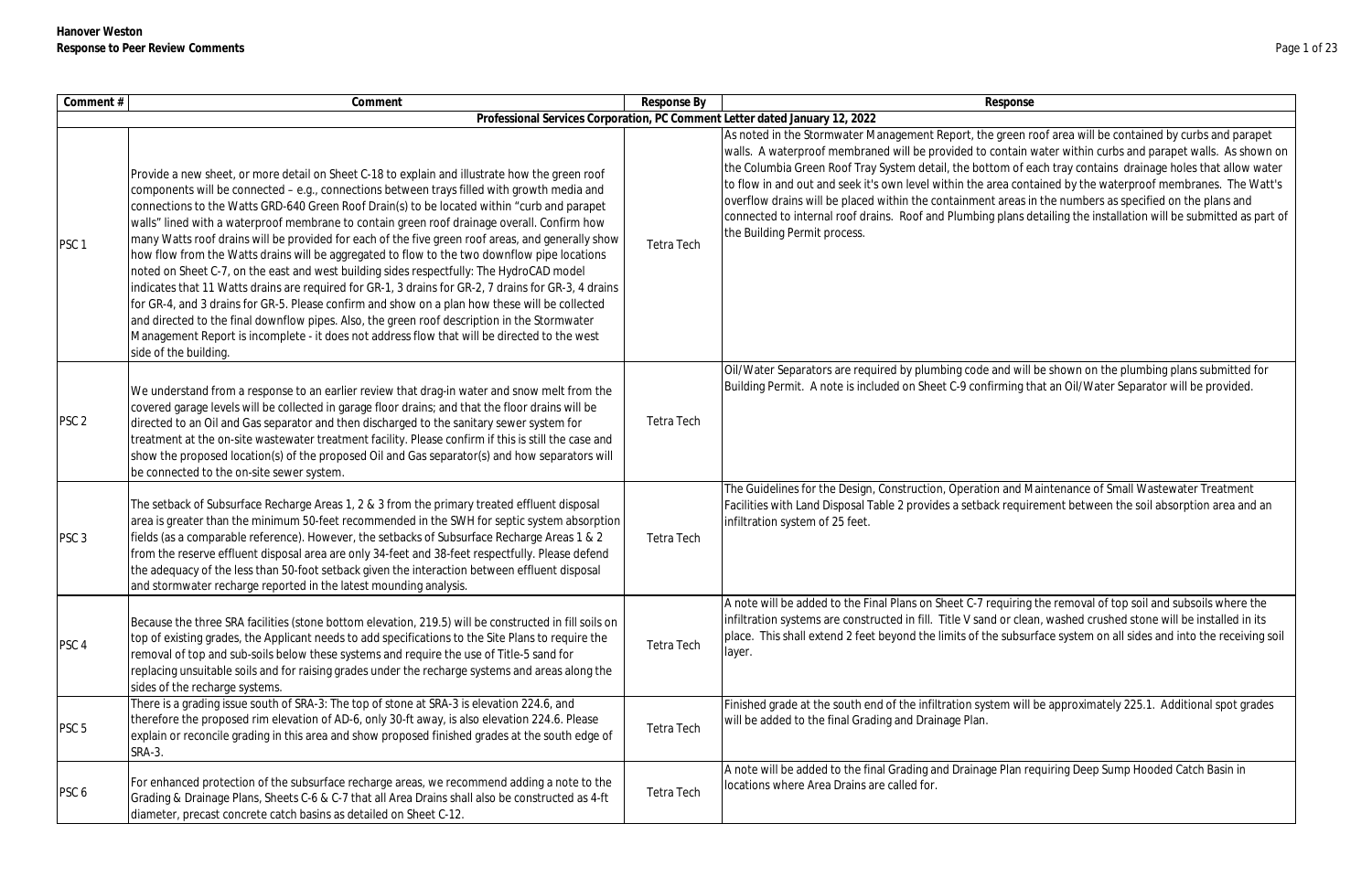| Comment#         | Comment                                                                                                                                                                                                                                                                                                                                                                                                                                                                                                                                                                                                                                                                                                                                                                                                                                                                                                                                                                                                                                                                                                                         | Response By       | Response                                                                                                                                                                                                                                                                                                                                                                                                                      |
|------------------|---------------------------------------------------------------------------------------------------------------------------------------------------------------------------------------------------------------------------------------------------------------------------------------------------------------------------------------------------------------------------------------------------------------------------------------------------------------------------------------------------------------------------------------------------------------------------------------------------------------------------------------------------------------------------------------------------------------------------------------------------------------------------------------------------------------------------------------------------------------------------------------------------------------------------------------------------------------------------------------------------------------------------------------------------------------------------------------------------------------------------------|-------------------|-------------------------------------------------------------------------------------------------------------------------------------------------------------------------------------------------------------------------------------------------------------------------------------------------------------------------------------------------------------------------------------------------------------------------------|
|                  |                                                                                                                                                                                                                                                                                                                                                                                                                                                                                                                                                                                                                                                                                                                                                                                                                                                                                                                                                                                                                                                                                                                                 |                   | Professional Services Corporation, PC Comment Letter dated January 12, 2022                                                                                                                                                                                                                                                                                                                                                   |
| PSC <sub>1</sub> | Provide a new sheet, or more detail on Sheet C-18 to explain and illustrate how the green roof<br>components will be connected - e.g., connections between trays filled with growth media and<br>connections to the Watts GRD-640 Green Roof Drain(s) to be located within "curb and parapet<br>walls" lined with a waterproof membrane to contain green roof drainage overall. Confirm how<br>many Watts roof drains will be provided for each of the five green roof areas, and generally show<br>how flow from the Watts drains will be aggregated to flow to the two downflow pipe locations<br>noted on Sheet C-7, on the east and west building sides respectfully: The HydroCAD model<br>indicates that 11 Watts drains are required for GR-1, 3 drains for GR-2, 7 drains for GR-3, 4 drains<br>for GR-4, and 3 drains for GR-5. Please confirm and show on a plan how these will be collected<br>and directed to the final downflow pipes. Also, the green roof description in the Stormwater<br>Management Report is incomplete - it does not address flow that will be directed to the west<br>side of the building. | Tetra Tech        | As noted in the Stormwater Management Report, the green r<br>walls. A waterproof membraned will be provided to contain v<br>the Columbia Green Roof Tray System detail, the bottom of e.<br>to flow in and out and seek it's own level within the area cont<br>overflow drains will be placed within the containment areas in<br>connected to internal roof drains. Roof and Plumbing plans d<br>the Building Permit process. |
| PSC <sub>2</sub> | We understand from a response to an earlier review that drag-in water and snow melt from the<br>covered garage levels will be collected in garage floor drains; and that the floor drains will be<br>directed to an Oil and Gas separator and then discharged to the sanitary sewer system for<br>treatment at the on-site wastewater treatment facility. Please confirm if this is still the case and<br>show the proposed location(s) of the proposed Oil and Gas separator(s) and how separators will<br>be connected to the on-site sewer system.                                                                                                                                                                                                                                                                                                                                                                                                                                                                                                                                                                           | <b>Tetra Tech</b> | Oil/Water Separators are required by plumbing code and will<br>Building Permit. A note is included on Sheet C-9 confirming th                                                                                                                                                                                                                                                                                                 |
| PSC <sub>3</sub> | The setback of Subsurface Recharge Areas 1, 2 & 3 from the primary treated effluent disposal<br>area is greater than the minimum 50-feet recommended in the SWH for septic system absorption<br>fields (as a comparable reference). However, the setbacks of Subsurface Recharge Areas 1 & 2<br>from the reserve effluent disposal area are only 34-feet and 38-feet respectfully. Please defend<br>the adequacy of the less than 50-foot setback given the interaction between effluent disposal<br>and stormwater recharge reported in the latest mounding analysis.                                                                                                                                                                                                                                                                                                                                                                                                                                                                                                                                                          | Tetra Tech        | The Guidelines for the Design, Construction, Operation and M<br>Facilities with Land Disposal Table 2 provides a setback requir<br>infiltration system of 25 feet.                                                                                                                                                                                                                                                            |
| PSC <sub>4</sub> | Because the three SRA facilities (stone bottom elevation, 219.5) will be constructed in fill soils on<br>top of existing grades, the Applicant needs to add specifications to the Site Plans to require the<br>removal of top and sub-soils below these systems and require the use of Title-5 sand for<br>replacing unsuitable soils and for raising grades under the recharge systems and areas along the<br>sides of the recharge systems.                                                                                                                                                                                                                                                                                                                                                                                                                                                                                                                                                                                                                                                                                   | Tetra Tech        | A note will be added to the Final Plans on Sheet C-7 requiring<br>infiltration systems are constructed in fill. Title V sand or clea<br>place. This shall extend 2 feet beyond the limits of the subsur<br>layer.                                                                                                                                                                                                             |
| PSC <sub>5</sub> | There is a grading issue south of SRA-3: The top of stone at SRA-3 is elevation 224.6, and<br>therefore the proposed rim elevation of AD-6, only 30-ft away, is also elevation 224.6. Please<br>explain or reconcile grading in this area and show proposed finished grades at the south edge of<br><b>SRA-3.</b>                                                                                                                                                                                                                                                                                                                                                                                                                                                                                                                                                                                                                                                                                                                                                                                                               | <b>Tetra Tech</b> | Finished grade at the south end of the infiltration system will<br>will be added to the final Grading and Drainage Plan.                                                                                                                                                                                                                                                                                                      |
| PSC <sub>6</sub> | For enhanced protection of the subsurface recharge areas, we recommend adding a note to the<br>Grading & Drainage Plans, Sheets C-6 & C-7 that all Area Drains shall also be constructed as 4-ft<br>diameter, precast concrete catch basins as detailed on Sheet C-12.                                                                                                                                                                                                                                                                                                                                                                                                                                                                                                                                                                                                                                                                                                                                                                                                                                                          | Tetra Tech        | A note will be added to the final Grading and Drainage Plan re<br>locations where Area Drains are called for.                                                                                                                                                                                                                                                                                                                 |

reen roof area will be contained by curbs and parapet ntain water within curbs and parapet walls. As shown on n of each tray contains drainage holes that allow water contained by the waterproof membranes. The Watt's reas in the numbers as specified on the plans and lans detailing the installation will be submitted as part of

d will be shown on the plumbing plans submitted for hing that an Oil/Water Separator will be provided.

and Maintenance of Small Wastewater Treatment requirement between the soil absorption area and an

uiring the removal of top soil and subsoils where the r clean, washed crushed stone will be installed in its ubsurface system on all sides and into the receiving soil

i will be approximately 225.1. Additional spot grades

Plan requiring Deep Sump Hooded Catch Basin in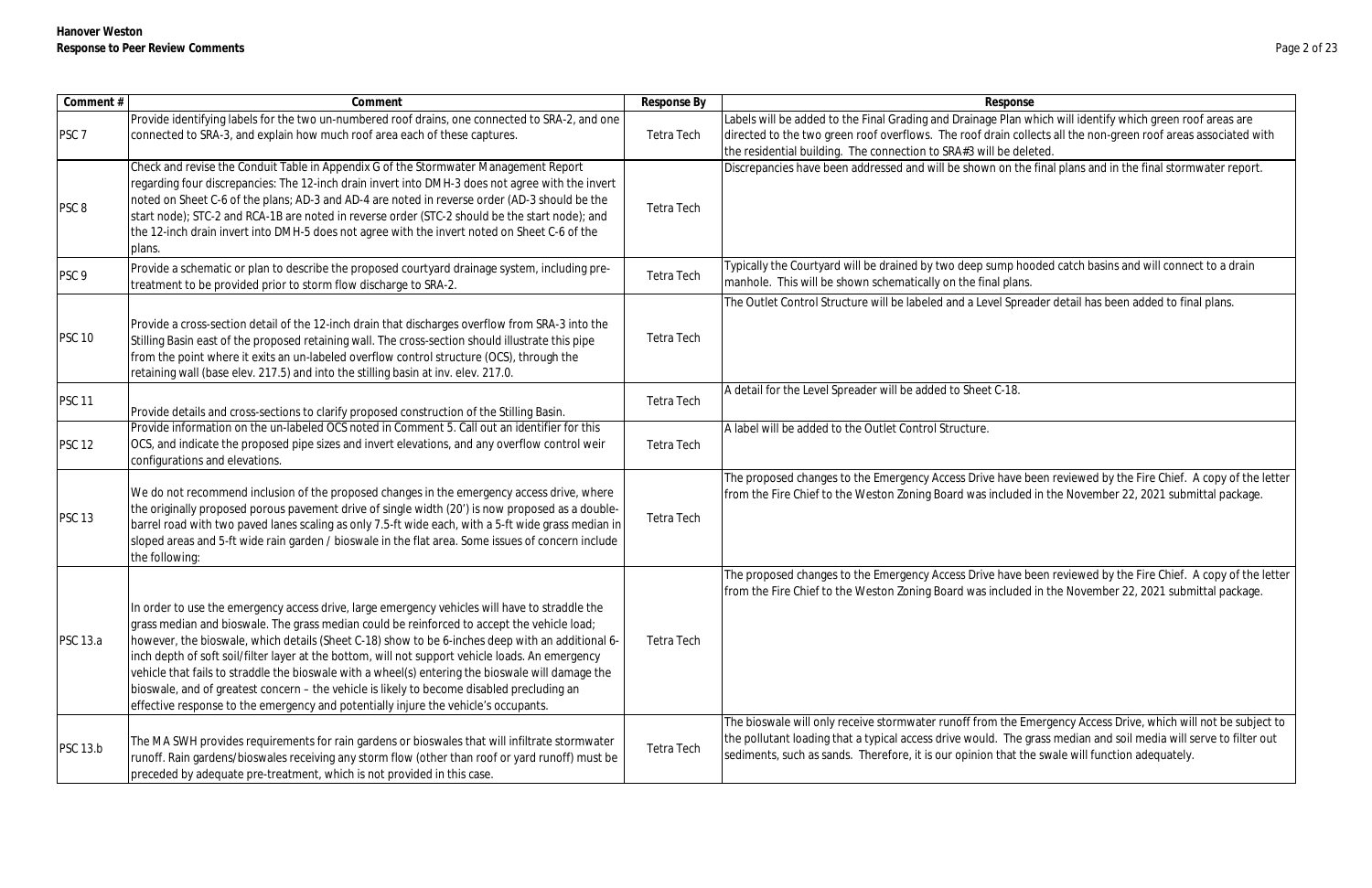| Comment #        | Comment                                                                                                                                                                                                                                                                                                                                                                                                                                                                                                                                                                                                                                                                                         | Response By       | Response                                                                                                                                                                                           |
|------------------|-------------------------------------------------------------------------------------------------------------------------------------------------------------------------------------------------------------------------------------------------------------------------------------------------------------------------------------------------------------------------------------------------------------------------------------------------------------------------------------------------------------------------------------------------------------------------------------------------------------------------------------------------------------------------------------------------|-------------------|----------------------------------------------------------------------------------------------------------------------------------------------------------------------------------------------------|
| PSC <sub>7</sub> | Provide identifying labels for the two un-numbered roof drains, one connected to SRA-2, and one<br>connected to SRA-3, and explain how much roof area each of these captures.                                                                                                                                                                                                                                                                                                                                                                                                                                                                                                                   | Tetra Tech        | Labels will be added to the Final Grading and Drainage Plan w<br>directed to the two green roof overflows. The roof drain colle<br>the residential building. The connection to SRA#3 will be dele  |
| PSC <sub>8</sub> | Check and revise the Conduit Table in Appendix G of the Stormwater Management Report<br>regarding four discrepancies: The 12-inch drain invert into DMH-3 does not agree with the invert<br>noted on Sheet C-6 of the plans; AD-3 and AD-4 are noted in reverse order (AD-3 should be the<br>start node); STC-2 and RCA-1B are noted in reverse order (STC-2 should be the start node); and<br>the 12-inch drain invert into DMH-5 does not agree with the invert noted on Sheet C-6 of the<br>plans.                                                                                                                                                                                           | <b>Tetra Tech</b> | Discrepancies have been addressed and will be shown on the                                                                                                                                         |
| PSC <sub>9</sub> | Provide a schematic or plan to describe the proposed courtyard drainage system, including pre-<br>treatment to be provided prior to storm flow discharge to SRA-2.                                                                                                                                                                                                                                                                                                                                                                                                                                                                                                                              | <b>Tetra Tech</b> | Typically the Courtyard will be drained by two deep sump hod<br>manhole. This will be shown schematically on the final plans.                                                                      |
| <b>PSC 10</b>    | Provide a cross-section detail of the 12-inch drain that discharges overflow from SRA-3 into the<br>Stilling Basin east of the proposed retaining wall. The cross-section should illustrate this pipe<br>from the point where it exits an un-labeled overflow control structure (OCS), through the<br>retaining wall (base elev. 217.5) and into the stilling basin at inv. elev. 217.0.                                                                                                                                                                                                                                                                                                        | <b>Tetra Tech</b> | The Outlet Control Structure will be labeled and a Level Sprea                                                                                                                                     |
| <b>PSC 11</b>    | Provide details and cross-sections to clarify proposed construction of the Stilling Basin.                                                                                                                                                                                                                                                                                                                                                                                                                                                                                                                                                                                                      | <b>Tetra Tech</b> | A detail for the Level Spreader will be added to Sheet C-18.                                                                                                                                       |
| <b>PSC 12</b>    | Provide information on the un-labeled OCS noted in Comment 5. Call out an identifier for this<br>OCS, and indicate the proposed pipe sizes and invert elevations, and any overflow control weir<br>configurations and elevations.                                                                                                                                                                                                                                                                                                                                                                                                                                                               | Tetra Tech        | A label will be added to the Outlet Control Structure.                                                                                                                                             |
| <b>PSC 13</b>    | We do not recommend inclusion of the proposed changes in the emergency access drive, where<br>the originally proposed porous pavement drive of single width (20') is now proposed as a double-<br>barrel road with two paved lanes scaling as only 7.5-ft wide each, with a 5-ft wide grass median in<br>sloped areas and 5-ft wide rain garden / bioswale in the flat area. Some issues of concern include<br>the following:                                                                                                                                                                                                                                                                   | <b>Tetra Tech</b> | The proposed changes to the Emergency Access Drive have be<br>from the Fire Chief to the Weston Zoning Board was included                                                                          |
| <b>PSC 13.a</b>  | In order to use the emergency access drive, large emergency vehicles will have to straddle the<br>grass median and bioswale. The grass median could be reinforced to accept the vehicle load;<br>however, the bioswale, which details (Sheet C-18) show to be 6-inches deep with an additional 6-<br>inch depth of soft soil/filter layer at the bottom, will not support vehicle loads. An emergency<br>vehicle that fails to straddle the bioswale with a wheel(s) entering the bioswale will damage the<br>bioswale, and of greatest concern - the vehicle is likely to become disabled precluding an<br>effective response to the emergency and potentially injure the vehicle's occupants. | <b>Tetra Tech</b> | The proposed changes to the Emergency Access Drive have be<br>from the Fire Chief to the Weston Zoning Board was included                                                                          |
| <b>PSC 13.b</b>  | The MA SWH provides requirements for rain gardens or bioswales that will infiltrate stormwater<br>runoff. Rain gardens/bioswales receiving any storm flow (other than roof or yard runoff) must be<br>preceded by adequate pre-treatment, which is not provided in this case.                                                                                                                                                                                                                                                                                                                                                                                                                   | Tetra Tech        | The bioswale will only receive stormwater runoff from the Em<br>the pollutant loading that a typical access drive would. The gr<br>sediments, such as sands. Therefore, it is our opinion that the |

Plan which will identify which green roof areas are in collects all the non-green roof areas associated with e deleted.

on the final plans and in the final stormwater report.

np hooded catch basins and will connect to a drain

Spreader detail has been added to final plans.

ave been reviewed by the Fire Chief. A copy of the letter fluded in the November 22, 2021 submittal package.

ave been reviewed by the Fire Chief. A copy of the letter fuded in the November 22, 2021 submittal package.

the Emergency Access Drive, which will not be subject to The grass median and soil media will serve to filter out hat the swale will function adequately.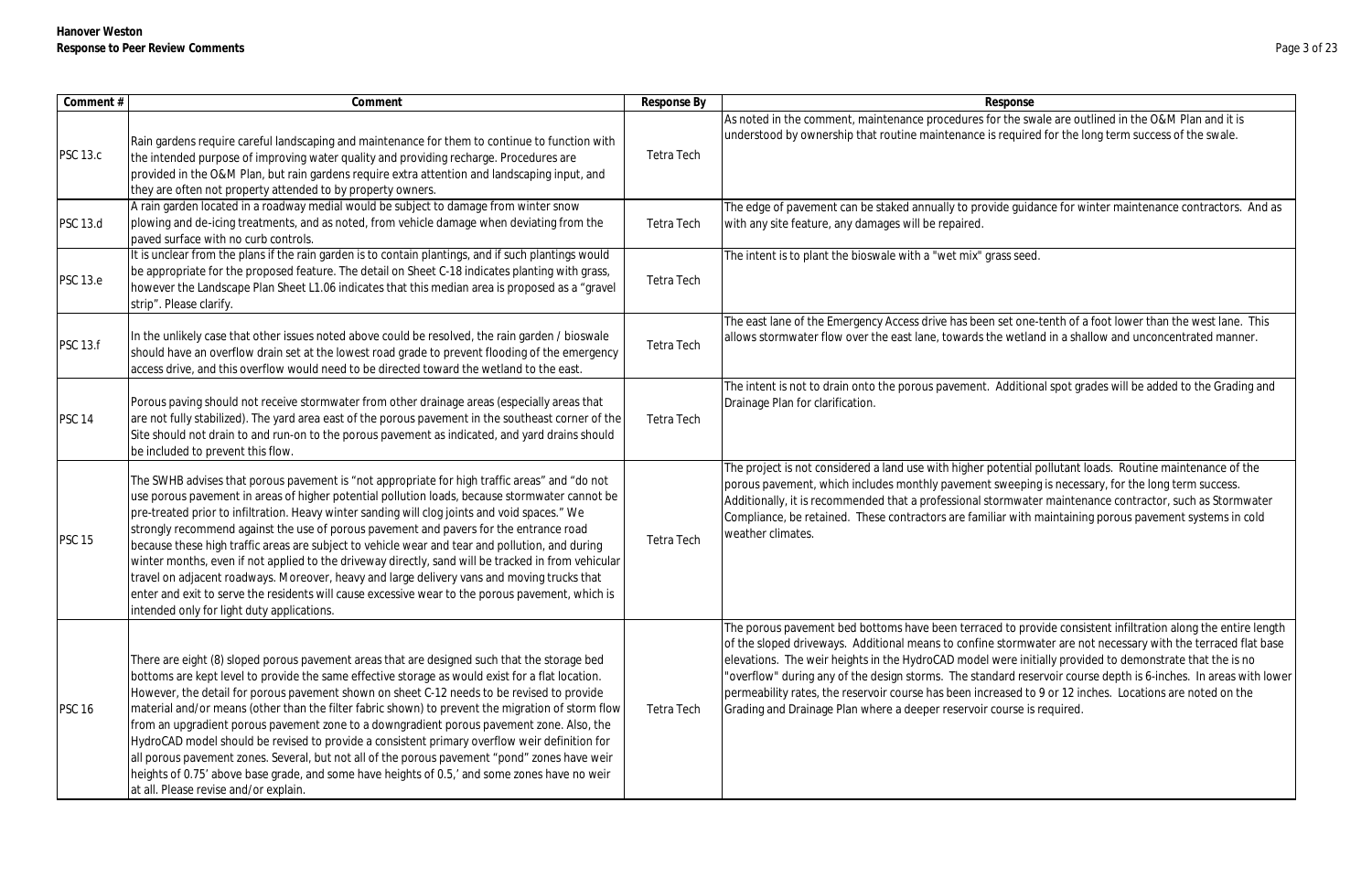| Comment #       | Comment                                                                                                                                                                                                                                                                                                                                                                                                                                                                                                                                                                                                                                                                                                                                                                                                                                               | Response By       | Response                                                                                                                                                                                                                                                                                                                                                                                         |
|-----------------|-------------------------------------------------------------------------------------------------------------------------------------------------------------------------------------------------------------------------------------------------------------------------------------------------------------------------------------------------------------------------------------------------------------------------------------------------------------------------------------------------------------------------------------------------------------------------------------------------------------------------------------------------------------------------------------------------------------------------------------------------------------------------------------------------------------------------------------------------------|-------------------|--------------------------------------------------------------------------------------------------------------------------------------------------------------------------------------------------------------------------------------------------------------------------------------------------------------------------------------------------------------------------------------------------|
| <b>PSC 13.c</b> | Rain gardens require careful landscaping and maintenance for them to continue to function with<br>the intended purpose of improving water quality and providing recharge. Procedures are<br>provided in the O&M Plan, but rain gardens require extra attention and landscaping input, and<br>they are often not property attended to by property owners.                                                                                                                                                                                                                                                                                                                                                                                                                                                                                              | Tetra Tech        | As noted in the comment, maintenance procedures for the swa<br>understood by ownership that routine maintenance is required                                                                                                                                                                                                                                                                      |
| <b>PSC 13.d</b> | A rain garden located in a roadway medial would be subject to damage from winter snow<br>plowing and de-icing treatments, and as noted, from vehicle damage when deviating from the<br>paved surface with no curb controls.                                                                                                                                                                                                                                                                                                                                                                                                                                                                                                                                                                                                                           | Tetra Tech        | The edge of pavement can be staked annually to provide guida<br>with any site feature, any damages will be repaired.                                                                                                                                                                                                                                                                             |
| <b>PSC 13.e</b> | It is unclear from the plans if the rain garden is to contain plantings, and if such plantings would<br>be appropriate for the proposed feature. The detail on Sheet C-18 indicates planting with grass,<br>however the Landscape Plan Sheet L1.06 indicates that this median area is proposed as a "gravel<br>strip". Please clarify.                                                                                                                                                                                                                                                                                                                                                                                                                                                                                                                | Tetra Tech        | The intent is to plant the bioswale with a "wet mix" grass seed.                                                                                                                                                                                                                                                                                                                                 |
| <b>PSC 13.f</b> | In the unlikely case that other issues noted above could be resolved, the rain garden / bioswale<br>should have an overflow drain set at the lowest road grade to prevent flooding of the emergency<br>access drive, and this overflow would need to be directed toward the wetland to the east.                                                                                                                                                                                                                                                                                                                                                                                                                                                                                                                                                      | <b>Tetra Tech</b> | The east lane of the Emergency Access drive has been set one-<br>allows stormwater flow over the east lane, towards the wetlan                                                                                                                                                                                                                                                                   |
| <b>PSC 14</b>   | Porous paving should not receive stormwater from other drainage areas (especially areas that<br>are not fully stabilized). The yard area east of the porous pavement in the southeast corner of the<br>Site should not drain to and run-on to the porous pavement as indicated, and yard drains should<br>be included to prevent this flow.                                                                                                                                                                                                                                                                                                                                                                                                                                                                                                           | Tetra Tech        | The intent is not to drain onto the porous pavement. Additiona<br>Drainage Plan for clarification.                                                                                                                                                                                                                                                                                               |
| <b>PSC 15</b>   | The SWHB advises that porous pavement is "not appropriate for high traffic areas" and "do not<br>use porous pavement in areas of higher potential pollution loads, because stormwater cannot be<br>pre-treated prior to infiltration. Heavy winter sanding will clog joints and void spaces." We<br>strongly recommend against the use of porous pavement and pavers for the entrance road<br>because these high traffic areas are subject to vehicle wear and tear and pollution, and during<br>winter months, even if not applied to the driveway directly, sand will be tracked in from vehicular<br>travel on adjacent roadways. Moreover, heavy and large delivery vans and moving trucks that<br>enter and exit to serve the residents will cause excessive wear to the porous pavement, which is<br>intended only for light duty applications. | Tetra Tech        | The project is not considered a land use with higher potential p<br>porous pavement, which includes monthly pavement sweeping<br>Additionally, it is recommended that a professional stormwate<br>Compliance, be retained. These contractors are familiar with n<br>weather climates.                                                                                                            |
| <b>PSC 16</b>   | There are eight (8) sloped porous pavement areas that are designed such that the storage bed<br>bottoms are kept level to provide the same effective storage as would exist for a flat location.<br>However, the detail for porous pavement shown on sheet C-12 needs to be revised to provide<br>material and/or means (other than the filter fabric shown) to prevent the migration of storm flow<br>from an upgradient porous pavement zone to a downgradient porous pavement zone. Also, the<br>HydroCAD model should be revised to provide a consistent primary overflow weir definition for<br>all porous pavement zones. Several, but not all of the porous pavement "pond" zones have weir<br>heights of 0.75' above base grade, and some have heights of 0.5,' and some zones have no weir<br>at all. Please revise and/or explain.          | Tetra Tech        | The porous pavement bed bottoms have been terraced to prov<br>of the sloped driveways. Additional means to confine stormwa<br>elevations. The weir heights in the HydroCAD model were initi<br>'overflow" during any of the design storms. The standard rese<br>permeability rates, the reservoir course has been increased to<br>Grading and Drainage Plan where a deeper reservoir course is r |

the swale are outlined in the O&M Plan and it is equired for the long term success of the swale.

le guidance for winter maintenance contractors. And as

et one-tenth of a foot lower than the west lane. This wetland in a shallow and unconcentrated manner.

dditional spot grades will be added to the Grading and

tential pollutant loads. Routine maintenance of the weeping is necessary, for the long term success. mwater maintenance contractor, such as Stormwater comith maintaining porous pavement systems in cold

to provide consistent infiltration along the entire length tormwater are not necessary with the terraced flat base ere initially provided to demonstrate that the is no rd reservoir course depth is 6-inches. In areas with lower ased to 9 or 12 inches. Locations are noted on the urse is required.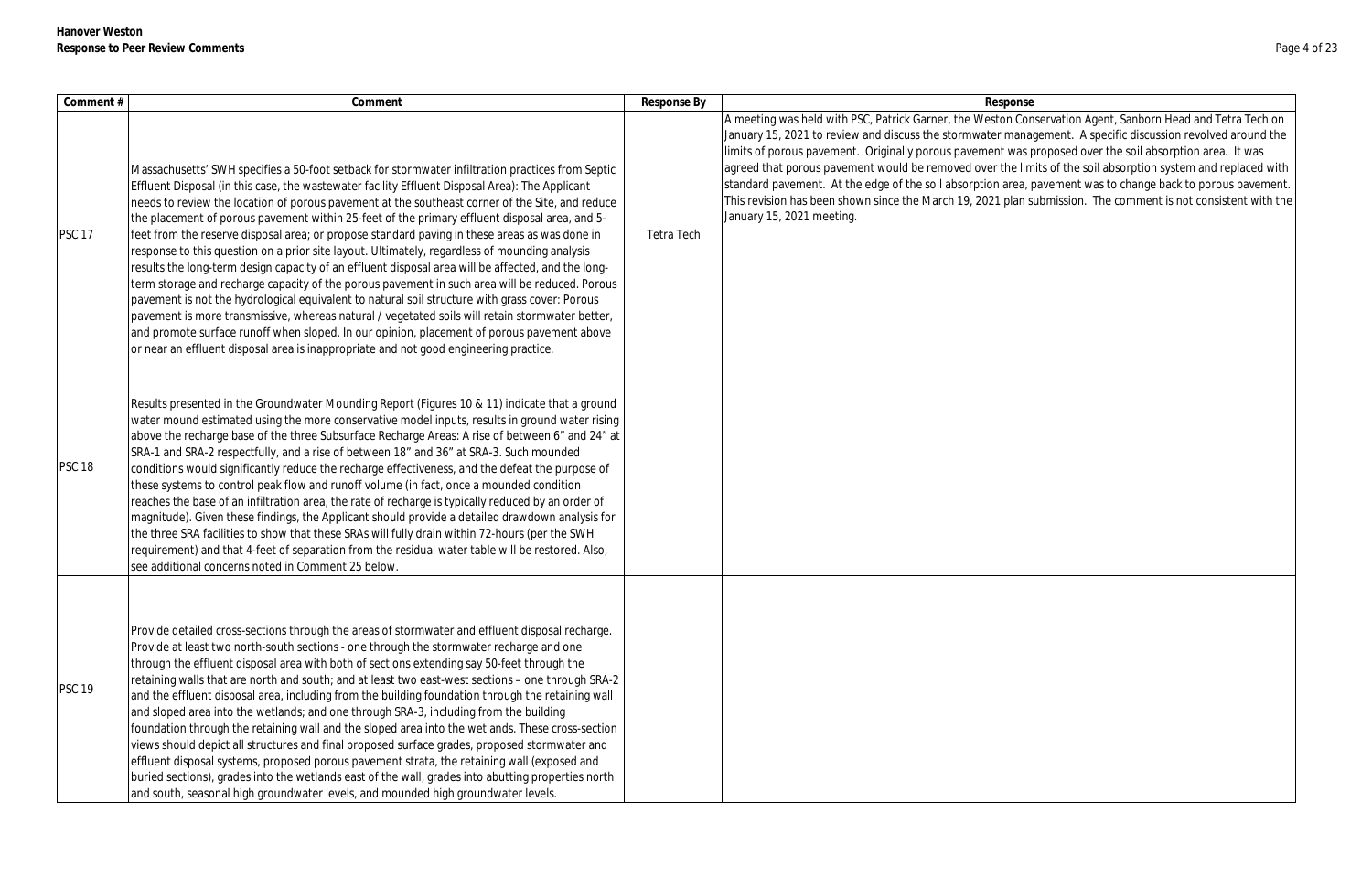| Comment #     | Comment                                                                                                                                                                                                                                                                                                                                                                                                                                                                                                                                                                                                                                                                                                                                                                                                                                                                                                                                                                                                                                                                                                                                                                                                       | Response By | Response                                                                                                                                                                                                                                                                                                                                                                                                            |
|---------------|---------------------------------------------------------------------------------------------------------------------------------------------------------------------------------------------------------------------------------------------------------------------------------------------------------------------------------------------------------------------------------------------------------------------------------------------------------------------------------------------------------------------------------------------------------------------------------------------------------------------------------------------------------------------------------------------------------------------------------------------------------------------------------------------------------------------------------------------------------------------------------------------------------------------------------------------------------------------------------------------------------------------------------------------------------------------------------------------------------------------------------------------------------------------------------------------------------------|-------------|---------------------------------------------------------------------------------------------------------------------------------------------------------------------------------------------------------------------------------------------------------------------------------------------------------------------------------------------------------------------------------------------------------------------|
| <b>PSC 17</b> | Massachusetts' SWH specifies a 50-foot setback for stormwater infiltration practices from Septic<br>Effluent Disposal (in this case, the wastewater facility Effluent Disposal Area): The Applicant<br>needs to review the location of porous pavement at the southeast corner of the Site, and reduce<br>the placement of porous pavement within 25-feet of the primary effluent disposal area, and 5-<br>feet from the reserve disposal area; or propose standard paving in these areas as was done in<br>response to this question on a prior site layout. Ultimately, regardless of mounding analysis<br>results the long-term design capacity of an effluent disposal area will be affected, and the long-<br>term storage and recharge capacity of the porous pavement in such area will be reduced. Porous<br>pavement is not the hydrological equivalent to natural soil structure with grass cover: Porous<br>pavement is more transmissive, whereas natural / vegetated soils will retain stormwater better,<br>and promote surface runoff when sloped. In our opinion, placement of porous pavement above<br>or near an effluent disposal area is inappropriate and not good engineering practice. | Tetra Tech  | A meeting was held with PSC, Patrick Garner, the Weston Con<br>January 15, 2021 to review and discuss the stormwater mana<br>limits of porous pavement. Originally porous pavement was p<br>agreed that porous pavement would be removed over the lim<br>standard pavement. At the edge of the soil absorption area, p<br>This revision has been shown since the March 19, 2021 plan s<br>January 15, 2021 meeting. |
| <b>PSC 18</b> | Results presented in the Groundwater Mounding Report (Figures 10 & 11) indicate that a ground<br> water mound estimated using the more conservative model inputs, results in ground water rising<br>above the recharge base of the three Subsurface Recharge Areas: A rise of between 6" and 24" at<br>SRA-1 and SRA-2 respectfully, and a rise of between 18" and 36" at SRA-3. Such mounded<br>conditions would significantly reduce the recharge effectiveness, and the defeat the purpose of<br>these systems to control peak flow and runoff volume (in fact, once a mounded condition<br>reaches the base of an infiltration area, the rate of recharge is typically reduced by an order of<br>magnitude). Given these findings, the Applicant should provide a detailed drawdown analysis for<br>the three SRA facilities to show that these SRAs will fully drain within 72-hours (per the SWH<br>requirement) and that 4-feet of separation from the residual water table will be restored. Also,<br>see additional concerns noted in Comment 25 below.                                                                                                                                              |             |                                                                                                                                                                                                                                                                                                                                                                                                                     |
| <b>PSC 19</b> | Provide detailed cross-sections through the areas of stormwater and effluent disposal recharge.<br>Provide at least two north-south sections - one through the stormwater recharge and one<br>through the effluent disposal area with both of sections extending say 50-feet through the<br>retaining walls that are north and south; and at least two east-west sections – one through SRA-2<br>and the effluent disposal area, including from the building foundation through the retaining wall<br>and sloped area into the wetlands; and one through SRA-3, including from the building<br>foundation through the retaining wall and the sloped area into the wetlands. These cross-section<br>views should depict all structures and final proposed surface grades, proposed stormwater and<br>effluent disposal systems, proposed porous pavement strata, the retaining wall (exposed and<br>buried sections), grades into the wetlands east of the wall, grades into abutting properties north<br>and south, seasonal high groundwater levels, and mounded high groundwater levels.                                                                                                                    |             |                                                                                                                                                                                                                                                                                                                                                                                                                     |

on Conservation Agent, Sanborn Head and Tetra Tech on management. A specific discussion revolved around the t was proposed over the soil absorption area. It was the limits of the soil absorption system and replaced with area, pavement was to change back to porous pavement. plan submission. The comment is not consistent with the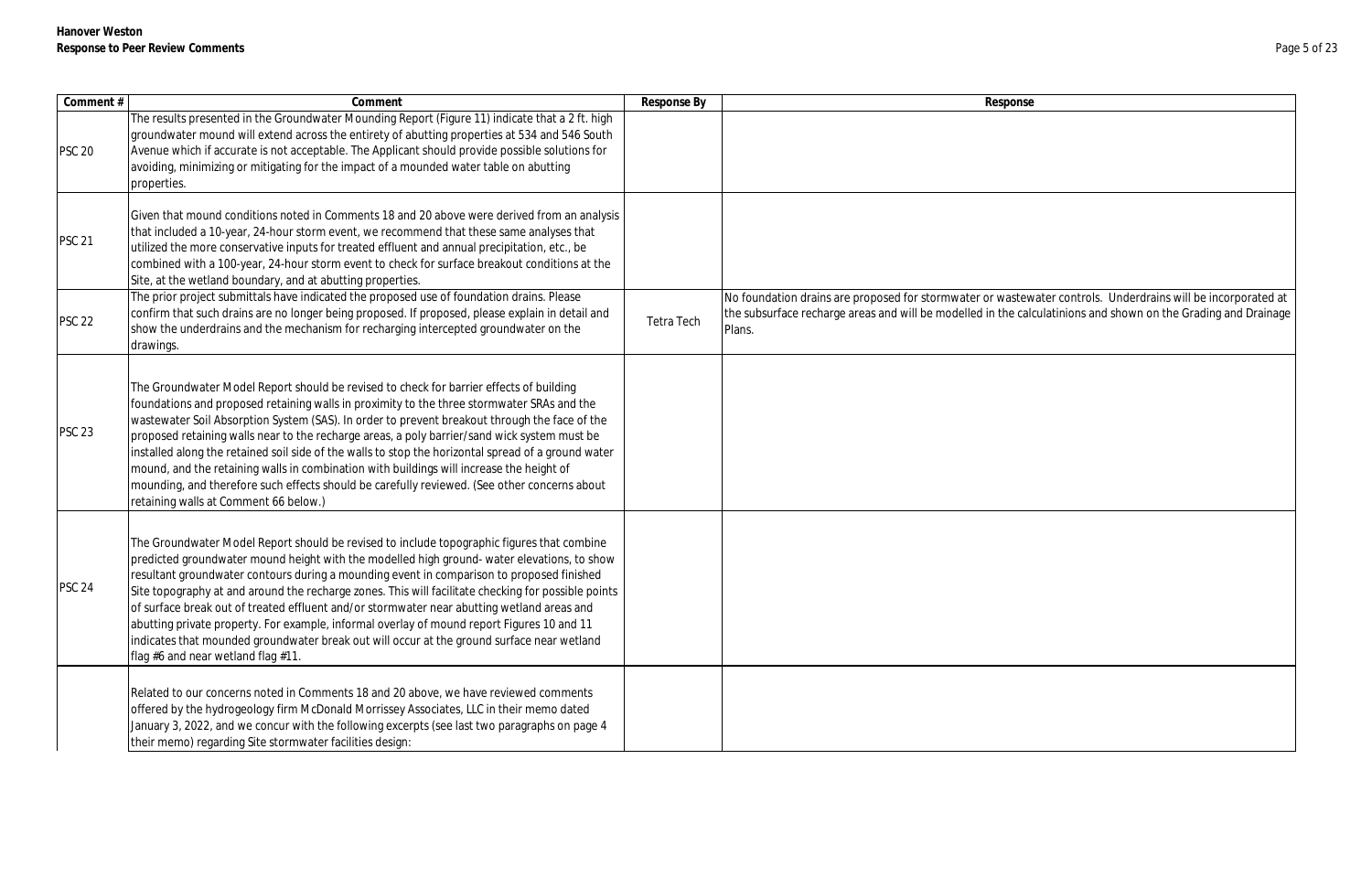| Response                                                                                                       |
|----------------------------------------------------------------------------------------------------------------|
|                                                                                                                |
|                                                                                                                |
|                                                                                                                |
|                                                                                                                |
|                                                                                                                |
|                                                                                                                |
|                                                                                                                |
|                                                                                                                |
|                                                                                                                |
|                                                                                                                |
| No foundation drains are proposed for stormwater or wastewater controls. Underdrains will be incorporated at   |
| the subsurface recharge areas and will be modelled in the calculatinions and shown on the Grading and Drainage |
| Plans.                                                                                                         |
|                                                                                                                |
|                                                                                                                |
|                                                                                                                |
|                                                                                                                |
|                                                                                                                |
|                                                                                                                |
|                                                                                                                |
|                                                                                                                |
|                                                                                                                |
|                                                                                                                |
|                                                                                                                |
|                                                                                                                |
|                                                                                                                |
|                                                                                                                |
|                                                                                                                |
|                                                                                                                |
|                                                                                                                |
|                                                                                                                |
|                                                                                                                |
|                                                                                                                |
|                                                                                                                |
|                                                                                                                |
|                                                                                                                |
|                                                                                                                |
|                                                                                                                |
|                                                                                                                |

| Comment #     | Comment                                                                                                                                                                                                                                                                                                                                                                                                                                                                                                                                                                                                                                                                                                                            | Response By | Response                                                                                                                               |
|---------------|------------------------------------------------------------------------------------------------------------------------------------------------------------------------------------------------------------------------------------------------------------------------------------------------------------------------------------------------------------------------------------------------------------------------------------------------------------------------------------------------------------------------------------------------------------------------------------------------------------------------------------------------------------------------------------------------------------------------------------|-------------|----------------------------------------------------------------------------------------------------------------------------------------|
| <b>PSC 20</b> | The results presented in the Groundwater Mounding Report (Figure 11) indicate that a 2 ft. high<br>groundwater mound will extend across the entirety of abutting properties at 534 and 546 South<br>Avenue which if accurate is not acceptable. The Applicant should provide possible solutions for<br>avoiding, minimizing or mitigating for the impact of a mounded water table on abutting<br>properties.                                                                                                                                                                                                                                                                                                                       |             |                                                                                                                                        |
| <b>PSC 21</b> | Given that mound conditions noted in Comments 18 and 20 above were derived from an analysis<br>that included a 10-year, 24-hour storm event, we recommend that these same analyses that<br>utilized the more conservative inputs for treated effluent and annual precipitation, etc., be<br>combined with a 100-year, 24-hour storm event to check for surface breakout conditions at the<br>Site, at the wetland boundary, and at abutting properties.                                                                                                                                                                                                                                                                            |             |                                                                                                                                        |
| <b>PSC 22</b> | The prior project submittals have indicated the proposed use of foundation drains. Please<br>confirm that such drains are no longer being proposed. If proposed, please explain in detail and<br>show the underdrains and the mechanism for recharging intercepted groundwater on the<br>drawings.                                                                                                                                                                                                                                                                                                                                                                                                                                 | Tetra Tech  | No foundation drains are proposed for stormwater or wastew<br>the subsurface recharge areas and will be modelled in the cald<br>Plans. |
| <b>PSC 23</b> | The Groundwater Model Report should be revised to check for barrier effects of building<br>foundations and proposed retaining walls in proximity to the three stormwater SRAs and the<br>wastewater Soil Absorption System (SAS). In order to prevent breakout through the face of the<br>proposed retaining walls near to the recharge areas, a poly barrier/sand wick system must be<br>installed along the retained soil side of the walls to stop the horizontal spread of a ground water<br>mound, and the retaining walls in combination with buildings will increase the height of<br>mounding, and therefore such effects should be carefully reviewed. (See other concerns about<br>retaining walls at Comment 66 below.) |             |                                                                                                                                        |
| <b>PSC 24</b> | The Groundwater Model Report should be revised to include topographic figures that combine<br>predicted groundwater mound height with the modelled high ground- water elevations, to show<br>resultant groundwater contours during a mounding event in comparison to proposed finished<br>Site topography at and around the recharge zones. This will facilitate checking for possible points<br>of surface break out of treated effluent and/or stormwater near abutting wetland areas and<br>abutting private property. For example, informal overlay of mound report Figures 10 and 11<br>indicates that mounded groundwater break out will occur at the ground surface near wetland<br>flag #6 and near wetland flag #11.      |             |                                                                                                                                        |
|               | Related to our concerns noted in Comments 18 and 20 above, we have reviewed comments<br>offered by the hydrogeology firm McDonald Morrissey Associates, LLC in their memo dated<br>January 3, 2022, and we concur with the following excerpts (see last two paragraphs on page 4<br>their memo) regarding Site stormwater facilities design:                                                                                                                                                                                                                                                                                                                                                                                       |             |                                                                                                                                        |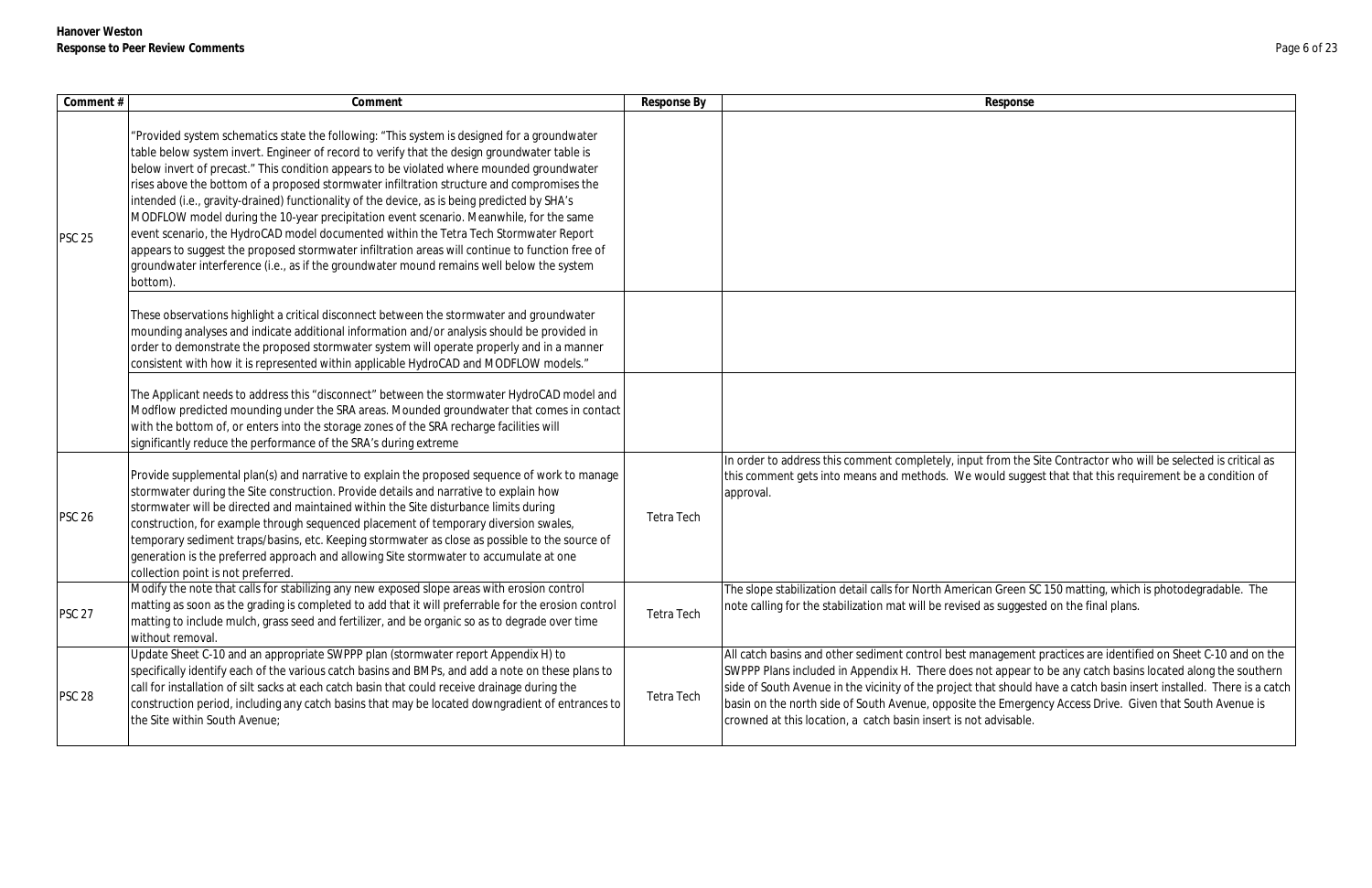| Comment #     | Comment                                                                                                                                                                                                                                                                                                                                                                                                                                                                                                                                                                                                                                                                                                                                                                                                                                                                               | Response By | Response                                                                                                                                                                                                                                                                                                                        |
|---------------|---------------------------------------------------------------------------------------------------------------------------------------------------------------------------------------------------------------------------------------------------------------------------------------------------------------------------------------------------------------------------------------------------------------------------------------------------------------------------------------------------------------------------------------------------------------------------------------------------------------------------------------------------------------------------------------------------------------------------------------------------------------------------------------------------------------------------------------------------------------------------------------|-------------|---------------------------------------------------------------------------------------------------------------------------------------------------------------------------------------------------------------------------------------------------------------------------------------------------------------------------------|
| <b>PSC 25</b> | "Provided system schematics state the following: "This system is designed for a groundwater<br>table below system invert. Engineer of record to verify that the design groundwater table is<br>below invert of precast." This condition appears to be violated where mounded groundwater<br>rises above the bottom of a proposed stormwater infiltration structure and compromises the<br>intended (i.e., gravity-drained) functionality of the device, as is being predicted by SHA's<br>MODFLOW model during the 10-year precipitation event scenario. Meanwhile, for the same<br>event scenario, the HydroCAD model documented within the Tetra Tech Stormwater Report<br>appears to suggest the proposed stormwater infiltration areas will continue to function free of<br>groundwater interference (i.e., as if the groundwater mound remains well below the system<br>bottom). |             |                                                                                                                                                                                                                                                                                                                                 |
|               | These observations highlight a critical disconnect between the stormwater and groundwater<br>mounding analyses and indicate additional information and/or analysis should be provided in<br>order to demonstrate the proposed stormwater system will operate properly and in a manner<br>consistent with how it is represented within applicable HydroCAD and MODFLOW models."                                                                                                                                                                                                                                                                                                                                                                                                                                                                                                        |             |                                                                                                                                                                                                                                                                                                                                 |
|               | The Applicant needs to address this "disconnect" between the stormwater HydroCAD model and<br>Modflow predicted mounding under the SRA areas. Mounded groundwater that comes in contact<br>with the bottom of, or enters into the storage zones of the SRA recharge facilities will<br>significantly reduce the performance of the SRA's during extreme                                                                                                                                                                                                                                                                                                                                                                                                                                                                                                                               |             |                                                                                                                                                                                                                                                                                                                                 |
| <b>PSC 26</b> | Provide supplemental plan(s) and narrative to explain the proposed sequence of work to manage<br>stormwater during the Site construction. Provide details and narrative to explain how<br>stormwater will be directed and maintained within the Site disturbance limits during<br>construction, for example through sequenced placement of temporary diversion swales,<br>temporary sediment traps/basins, etc. Keeping stormwater as close as possible to the source of<br>generation is the preferred approach and allowing Site stormwater to accumulate at one<br>collection point is not preferred.                                                                                                                                                                                                                                                                              | Tetra Tech  | In order to address this comment completely, input from the<br>this comment gets into means and methods. We would sugge<br>approval.                                                                                                                                                                                            |
| <b>PSC 27</b> | Modify the note that calls for stabilizing any new exposed slope areas with erosion control<br>matting as soon as the grading is completed to add that it will preferrable for the erosion control<br>matting to include mulch, grass seed and fertilizer, and be organic so as to degrade over time<br>without removal.                                                                                                                                                                                                                                                                                                                                                                                                                                                                                                                                                              | Tetra Tech  | The slope stabilization detail calls for North American Green S<br>note calling for the stabilization mat will be revised as suggest                                                                                                                                                                                            |
| <b>PSC 28</b> | Update Sheet C-10 and an appropriate SWPPP plan (stormwater report Appendix H) to<br>specifically identify each of the various catch basins and BMPs, and add a note on these plans to<br>call for installation of silt sacks at each catch basin that could receive drainage during the<br>construction period, including any catch basins that may be located downgradient of entrances to<br>the Site within South Avenue;                                                                                                                                                                                                                                                                                                                                                                                                                                                         | Tetra Tech  | All catch basins and other sediment control best management<br>SWPPP Plans included in Appendix H. There does not appear<br>side of South Avenue in the vicinity of the project that should<br>basin on the north side of South Avenue, opposite the Emerge<br>crowned at this location, a catch basin insert is not advisable. |

m the Site Contractor who will be selected is critical as theis suggest that that this requirement be a condition of reen SC 150 matting, which is photodegradable. The uggested on the final plans. ement practices are identified on Sheet C-10 and on the ppear to be any catch basins located along the southern side of South Avenue in the vicinity of the vicinity of the vicinity of the vicinity of the vicinity in the vicinity in the vicinity of the vicinity in the vicinity in the vicinity in the vicinity in the vicinity in the vi mergency Access Drive. Given that South Avenue is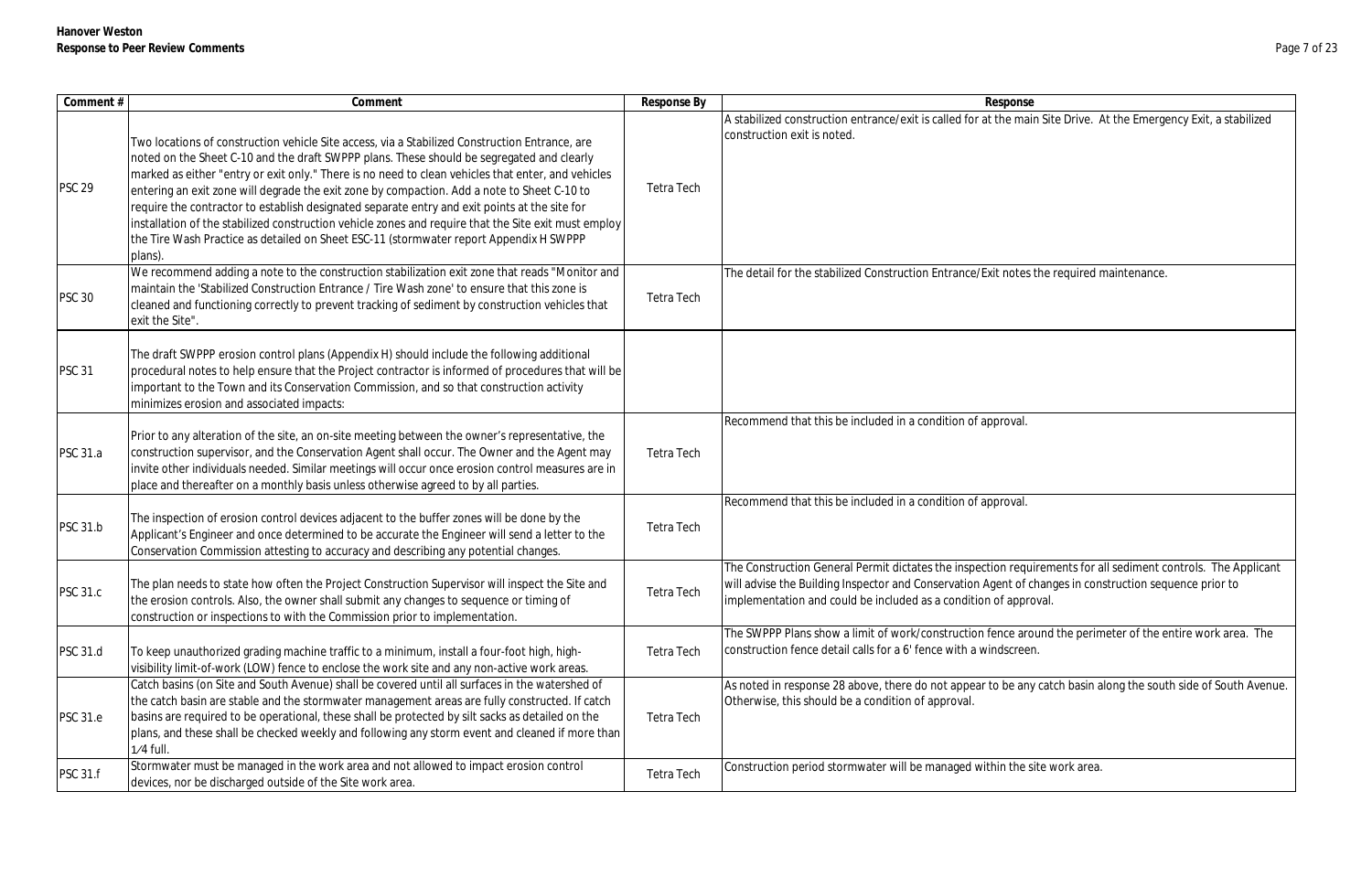| Comment#        | Comment                                                                                                                                                                                                                                                                                                                                                                                                                                                                                                                                                                                                                                                                                                        | Response By | Response                                                                                                                                                                                                                                                                                    |
|-----------------|----------------------------------------------------------------------------------------------------------------------------------------------------------------------------------------------------------------------------------------------------------------------------------------------------------------------------------------------------------------------------------------------------------------------------------------------------------------------------------------------------------------------------------------------------------------------------------------------------------------------------------------------------------------------------------------------------------------|-------------|---------------------------------------------------------------------------------------------------------------------------------------------------------------------------------------------------------------------------------------------------------------------------------------------|
| <b>PSC 29</b>   | Two locations of construction vehicle Site access, via a Stabilized Construction Entrance, are<br>noted on the Sheet C-10 and the draft SWPPP plans. These should be segregated and clearly<br>marked as either "entry or exit only." There is no need to clean vehicles that enter, and vehicles<br>entering an exit zone will degrade the exit zone by compaction. Add a note to Sheet C-10 to<br>require the contractor to establish designated separate entry and exit points at the site for<br>installation of the stabilized construction vehicle zones and require that the Site exit must employ<br>the Tire Wash Practice as detailed on Sheet ESC-11 (stormwater report Appendix H SWPPP<br>plans). | Tetra Tech  | A stabilized construction entrance/exit is called for at the main Site Drive. At the Emergency Exit, a stabilized<br>construction exit is noted.                                                                                                                                            |
| <b>PSC 30</b>   | We recommend adding a note to the construction stabilization exit zone that reads "Monitor and<br>maintain the 'Stabilized Construction Entrance / Tire Wash zone' to ensure that this zone is<br>cleaned and functioning correctly to prevent tracking of sediment by construction vehicles that<br>exit the Site".                                                                                                                                                                                                                                                                                                                                                                                           | Tetra Tech  | The detail for the stabilized Construction Entrance/Exit notes the required maintenance.                                                                                                                                                                                                    |
| <b>PSC 31</b>   | The draft SWPPP erosion control plans (Appendix H) should include the following additional<br>procedural notes to help ensure that the Project contractor is informed of procedures that will be<br>important to the Town and its Conservation Commission, and so that construction activity<br>minimizes erosion and associated impacts:                                                                                                                                                                                                                                                                                                                                                                      |             |                                                                                                                                                                                                                                                                                             |
| <b>PSC 31.a</b> | Prior to any alteration of the site, an on-site meeting between the owner's representative, the<br>construction supervisor, and the Conservation Agent shall occur. The Owner and the Agent may<br>invite other individuals needed. Similar meetings will occur once erosion control measures are in<br>place and thereafter on a monthly basis unless otherwise agreed to by all parties.                                                                                                                                                                                                                                                                                                                     | Tetra Tech  | Recommend that this be included in a condition of approval.                                                                                                                                                                                                                                 |
| <b>PSC 31.b</b> | The inspection of erosion control devices adjacent to the buffer zones will be done by the<br>Applicant's Engineer and once determined to be accurate the Engineer will send a letter to the<br>Conservation Commission attesting to accuracy and describing any potential changes.                                                                                                                                                                                                                                                                                                                                                                                                                            | Tetra Tech  | Recommend that this be included in a condition of approval.                                                                                                                                                                                                                                 |
| <b>PSC 31.c</b> | The plan needs to state how often the Project Construction Supervisor will inspect the Site and<br>the erosion controls. Also, the owner shall submit any changes to sequence or timing of<br>construction or inspections to with the Commission prior to implementation.                                                                                                                                                                                                                                                                                                                                                                                                                                      | Tetra Tech  | The Construction General Permit dictates the inspection requirements for all sediment controls. The Applicant<br>will advise the Building Inspector and Conservation Agent of changes in construction sequence prior to<br>implementation and could be included as a condition of approval. |
| <b>PSC 31.d</b> | To keep unauthorized grading machine traffic to a minimum, install a four-foot high, high-<br>visibility limit-of-work (LOW) fence to enclose the work site and any non-active work areas.                                                                                                                                                                                                                                                                                                                                                                                                                                                                                                                     | Tetra Tech  | The SWPPP Plans show a limit of work/construction fence around the perimeter of the entire work area. The<br>construction fence detail calls for a 6' fence with a windscreen.                                                                                                              |
| <b>PSC 31.e</b> | Catch basins (on Site and South Avenue) shall be covered until all surfaces in the watershed of<br>the catch basin are stable and the stormwater management areas are fully constructed. If catch<br>basins are required to be operational, these shall be protected by silt sacks as detailed on the<br>plans, and these shall be checked weekly and following any storm event and cleaned if more than<br>$1/4$ full.                                                                                                                                                                                                                                                                                        | Tetra Tech  | As noted in response 28 above, there do not appear to be any catch basin along the south side of South Avenue.<br>Otherwise, this should be a condition of approval.                                                                                                                        |
| <b>PSC 31.f</b> | Stormwater must be managed in the work area and not allowed to impact erosion control<br>devices, nor be discharged outside of the Site work area.                                                                                                                                                                                                                                                                                                                                                                                                                                                                                                                                                             | Tetra Tech  | Construction period stormwater will be managed within the site work area.                                                                                                                                                                                                                   |

| onse                                                    |
|---------------------------------------------------------|
| e main Site Drive. At the Emergency Exit, a stabilized  |
|                                                         |
|                                                         |
|                                                         |
|                                                         |
|                                                         |
|                                                         |
| otes the required maintenance.                          |
|                                                         |
|                                                         |
|                                                         |
|                                                         |
|                                                         |
| val.                                                    |
|                                                         |
|                                                         |
|                                                         |
| val.                                                    |
|                                                         |
| requirements for all sediment controls. The Applicant   |
| t of changes in construction sequence prior to          |
| approval.                                               |
| e around the perimeter of the entire work area. The     |
| creen.                                                  |
|                                                         |
| e any catch basin along the south side of South Avenue. |
|                                                         |
|                                                         |
| the site work area.                                     |
|                                                         |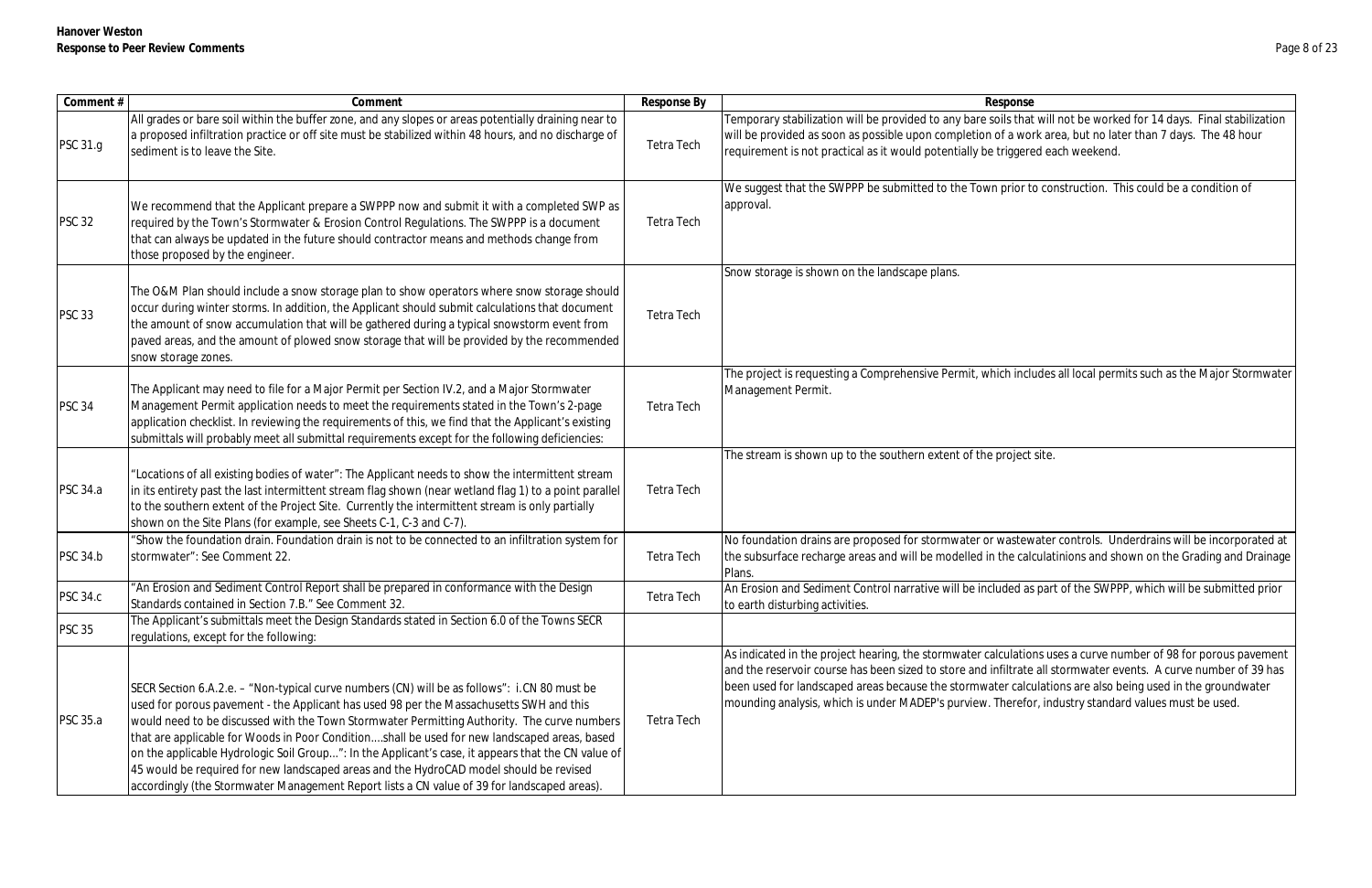| Comment #       | Comment                                                                                                                                                                                                                                                                                                                                                                                                                                                                                                                                                                                                                                                                               | Response By       | Response                                                                                                                                                                                                                                                              |
|-----------------|---------------------------------------------------------------------------------------------------------------------------------------------------------------------------------------------------------------------------------------------------------------------------------------------------------------------------------------------------------------------------------------------------------------------------------------------------------------------------------------------------------------------------------------------------------------------------------------------------------------------------------------------------------------------------------------|-------------------|-----------------------------------------------------------------------------------------------------------------------------------------------------------------------------------------------------------------------------------------------------------------------|
| PSC 31.g        | All grades or bare soil within the buffer zone, and any slopes or areas potentially draining near to<br>a proposed infiltration practice or off site must be stabilized within 48 hours, and no discharge of<br>sediment is to leave the Site.                                                                                                                                                                                                                                                                                                                                                                                                                                        | <b>Tetra Tech</b> | Temporary stabilization will be provided to any bare soils that<br>will be provided as soon as possible upon completion of a wor<br>requirement is not practical as it would potentially be triggere                                                                  |
| <b>PSC 32</b>   | We recommend that the Applicant prepare a SWPPP now and submit it with a completed SWP as<br>required by the Town's Stormwater & Erosion Control Regulations. The SWPPP is a document<br>that can always be updated in the future should contractor means and methods change from<br>those proposed by the engineer.                                                                                                                                                                                                                                                                                                                                                                  | Tetra Tech        | We suggest that the SWPPP be submitted to the Town prior to<br>approval.                                                                                                                                                                                              |
| <b>PSC 33</b>   | The O&M Plan should include a snow storage plan to show operators where snow storage should<br>occur during winter storms. In addition, the Applicant should submit calculations that document<br>the amount of snow accumulation that will be gathered during a typical snowstorm event from<br>paved areas, and the amount of plowed snow storage that will be provided by the recommended<br>snow storage zones.                                                                                                                                                                                                                                                                   | <b>Tetra Tech</b> | Snow storage is shown on the landscape plans.                                                                                                                                                                                                                         |
| <b>PSC 34</b>   | The Applicant may need to file for a Major Permit per Section IV.2, and a Major Stormwater<br>Management Permit application needs to meet the requirements stated in the Town's 2-page<br>application checklist. In reviewing the requirements of this, we find that the Applicant's existing<br>submittals will probably meet all submittal requirements except for the following deficiencies:                                                                                                                                                                                                                                                                                      | <b>Tetra Tech</b> | The project is requesting a Comprehensive Permit, which inclu<br>Management Permit.                                                                                                                                                                                   |
| <b>PSC 34.a</b> | 'Locations of all existing bodies of water": The Applicant needs to show the intermittent stream<br>in its entirety past the last intermittent stream flag shown (near wetland flag 1) to a point parallel<br>to the southern extent of the Project Site. Currently the intermittent stream is only partially<br>shown on the Site Plans (for example, see Sheets C-1, C-3 and C-7).                                                                                                                                                                                                                                                                                                  | <b>Tetra Tech</b> | The stream is shown up to the southern extent of the project                                                                                                                                                                                                          |
| <b>PSC 34.b</b> | 'Show the foundation drain. Foundation drain is not to be connected to an infiltration system for<br>stormwater": See Comment 22.                                                                                                                                                                                                                                                                                                                                                                                                                                                                                                                                                     | Tetra Tech        | No foundation drains are proposed for stormwater or wastew<br>the subsurface recharge areas and will be modelled in the cald<br>Plans.                                                                                                                                |
| <b>PSC 34.c</b> | "An Erosion and Sediment Control Report shall be prepared in conformance with the Design<br>Standards contained in Section 7.B." See Comment 32.                                                                                                                                                                                                                                                                                                                                                                                                                                                                                                                                      | <b>Tetra Tech</b> | An Erosion and Sediment Control narrative will be included as<br>to earth disturbing activities.                                                                                                                                                                      |
| <b>PSC 35</b>   | The Applicant's submittals meet the Design Standards stated in Section 6.0 of the Towns SECR<br>requlations, except for the following:                                                                                                                                                                                                                                                                                                                                                                                                                                                                                                                                                |                   |                                                                                                                                                                                                                                                                       |
| <b>PSC 35.a</b> | SECR Section 6.A.2.e. - "Non-typical curve numbers (CN) will be as follows": i.CN 80 must be<br>used for porous pavement - the Applicant has used 98 per the Massachusetts SWH and this<br>would need to be discussed with the Town Stormwater Permitting Authority. The curve numbers<br>that are applicable for Woods in Poor Conditionshall be used for new landscaped areas, based<br>on the applicable Hydrologic Soil Group": In the Applicant's case, it appears that the CN value of<br>45 would be required for new landscaped areas and the HydroCAD model should be revised<br>accordingly (the Stormwater Management Report lists a CN value of 39 for landscaped areas). | Tetra Tech        | As indicated in the project hearing, the stormwater calculation<br>and the reservoir course has been sized to store and infiltrate<br>been used for landscaped areas because the stormwater calculation<br>mounding analysis, which is under MADEP's purview. Therefo |

ils that will not be worked for 14 days. Final stabilization f a work area, but no later than 7 days. The 48 hour riggered each weekend.

prior to construction. This could be a condition of

th includes all local permits such as the Major Stormwater

The streem is shown in the southern extent of the southern extent of the southern extent of the southern extent of the southern extent of the southern extent of the southern extent of the southern extent of the southern ex

vastewater controls. Underdrains will be incorporated at he calculatinions and shown on the Grading and Drainage

ded as part of the SWPPP, which will be submitted prior

ulations uses a curve number of 98 for porous pavement iltrate all stormwater events. A curve number of 39 has r calculations are also being used in the groundwater nerefor, industry standard values must be used.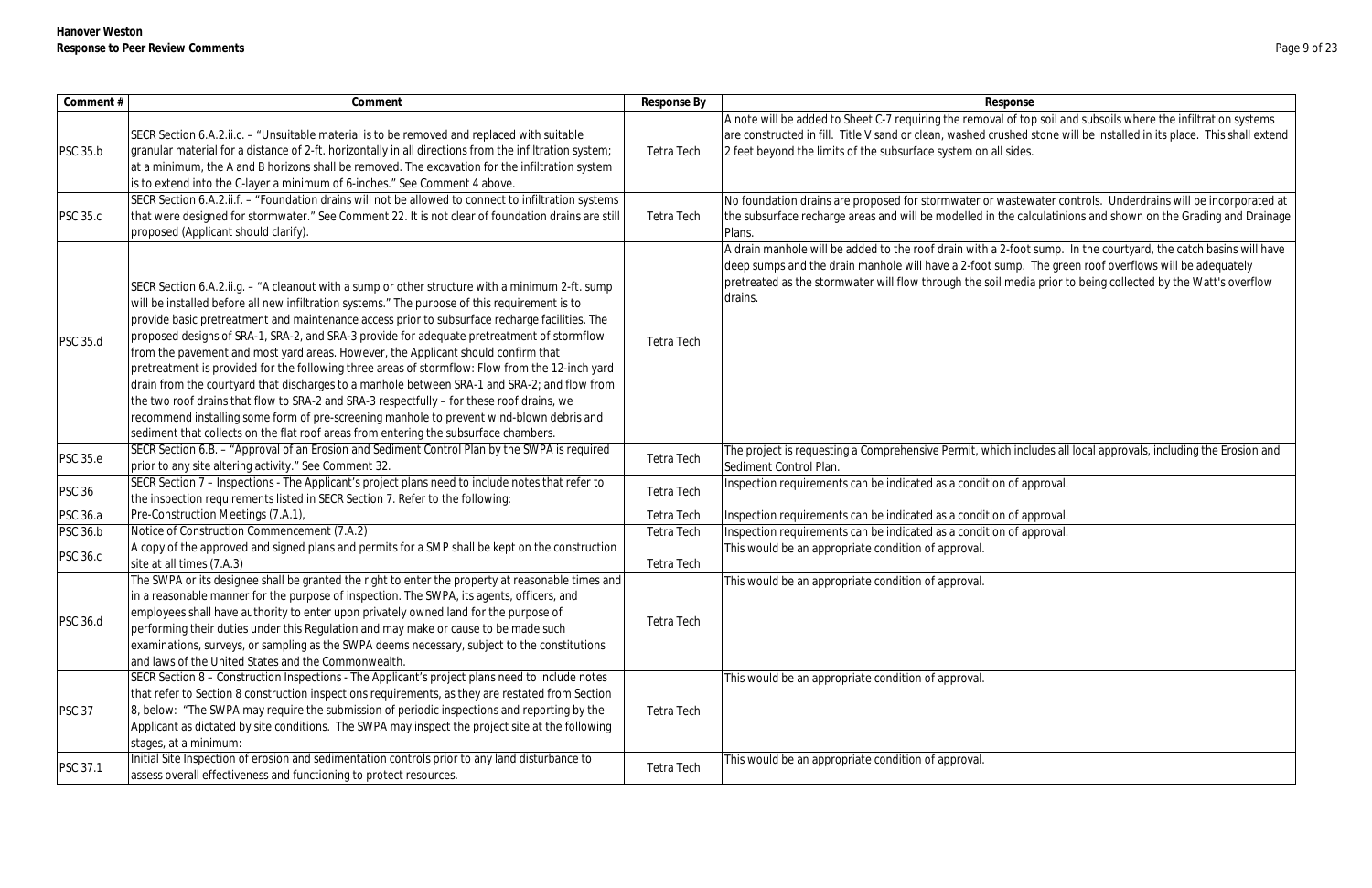| Comment #       | Comment                                                                                                                                                                                                                                                                                                                                                                                                                                                                                                                                                                                                                                                                                                                                                                                                                                                                                                                                                                   | Response By       | Response                                                                                                                                                                                                                     |
|-----------------|---------------------------------------------------------------------------------------------------------------------------------------------------------------------------------------------------------------------------------------------------------------------------------------------------------------------------------------------------------------------------------------------------------------------------------------------------------------------------------------------------------------------------------------------------------------------------------------------------------------------------------------------------------------------------------------------------------------------------------------------------------------------------------------------------------------------------------------------------------------------------------------------------------------------------------------------------------------------------|-------------------|------------------------------------------------------------------------------------------------------------------------------------------------------------------------------------------------------------------------------|
| <b>PSC 35.b</b> | SECR Section 6.A.2.ii.c. – "Unsuitable material is to be removed and replaced with suitable<br>granular material for a distance of 2-ft. horizontally in all directions from the infiltration system;<br>at a minimum, the A and B horizons shall be removed. The excavation for the infiltration system<br>is to extend into the C-layer a minimum of 6-inches." See Comment 4 above.                                                                                                                                                                                                                                                                                                                                                                                                                                                                                                                                                                                    | Tetra Tech        | A note will be added to Sheet C-7 requiring the removal of top soil a<br>are constructed in fill. Title V sand or clean, washed crushed stone w<br>2 feet beyond the limits of the subsurface system on all sides.           |
| <b>PSC 35.c</b> | SECR Section 6.A.2.ii.f. - "Foundation drains will not be allowed to connect to infiltration systems<br>that were designed for stormwater." See Comment 22. It is not clear of foundation drains are still<br>proposed (Applicant should clarify).                                                                                                                                                                                                                                                                                                                                                                                                                                                                                                                                                                                                                                                                                                                        | Tetra Tech        | No foundation drains are proposed for stormwater or wastewater co<br>the subsurface recharge areas and will be modelled in the calculatini<br>Plans.                                                                         |
| <b>PSC 35.d</b> | SECR Section 6.A.2.ii.g. - "A cleanout with a sump or other structure with a minimum 2-ft. sump<br>will be installed before all new infiltration systems." The purpose of this requirement is to<br>provide basic pretreatment and maintenance access prior to subsurface recharge facilities. The<br>proposed designs of SRA-1, SRA-2, and SRA-3 provide for adequate pretreatment of stormflow<br>from the pavement and most yard areas. However, the Applicant should confirm that<br>pretreatment is provided for the following three areas of stormflow: Flow from the 12-inch yard<br>drain from the courtyard that discharges to a manhole between SRA-1 and SRA-2; and flow from<br>the two roof drains that flow to SRA-2 and SRA-3 respectfully - for these roof drains, we<br>recommend installing some form of pre-screening manhole to prevent wind-blown debris and<br>sediment that collects on the flat roof areas from entering the subsurface chambers. | <b>Tetra Tech</b> | A drain manhole will be added to the roof drain with a 2-foot sump.<br>deep sumps and the drain manhole will have a 2-foot sump. The gre<br>pretreated as the stormwater will flow through the soil media prior t<br>drains. |
| <b>PSC 35.e</b> | SECR Section 6.B. - "Approval of an Erosion and Sediment Control Plan by the SWPA is required<br>prior to any site altering activity." See Comment 32.                                                                                                                                                                                                                                                                                                                                                                                                                                                                                                                                                                                                                                                                                                                                                                                                                    | <b>Tetra Tech</b> | The project is requesting a Comprehensive Permit, which includes al<br>Sediment Control Plan.                                                                                                                                |
| <b>PSC 36</b>   | SECR Section 7 - Inspections - The Applicant's project plans need to include notes that refer to<br>the inspection requirements listed in SECR Section 7. Refer to the following:                                                                                                                                                                                                                                                                                                                                                                                                                                                                                                                                                                                                                                                                                                                                                                                         | <b>Tetra Tech</b> | Inspection requirements can be indicated as a condition of approval.                                                                                                                                                         |
| <b>PSC 36.a</b> | Pre-Construction Meetings (7.A.1),                                                                                                                                                                                                                                                                                                                                                                                                                                                                                                                                                                                                                                                                                                                                                                                                                                                                                                                                        | <b>Tetra Tech</b> | Inspection requirements can be indicated as a condition of approval.                                                                                                                                                         |
| <b>PSC 36.b</b> | Notice of Construction Commencement (7.A.2)                                                                                                                                                                                                                                                                                                                                                                                                                                                                                                                                                                                                                                                                                                                                                                                                                                                                                                                               | <b>Tetra Tech</b> | Inspection requirements can be indicated as a condition of approval.                                                                                                                                                         |
| <b>PSC 36.c</b> | A copy of the approved and signed plans and permits for a SMP shall be kept on the construction                                                                                                                                                                                                                                                                                                                                                                                                                                                                                                                                                                                                                                                                                                                                                                                                                                                                           |                   | This would be an appropriate condition of approval.                                                                                                                                                                          |
|                 | site at all times (7.A.3)                                                                                                                                                                                                                                                                                                                                                                                                                                                                                                                                                                                                                                                                                                                                                                                                                                                                                                                                                 | Tetra Tech        |                                                                                                                                                                                                                              |
| <b>PSC 36.d</b> | The SWPA or its designee shall be granted the right to enter the property at reasonable times and<br>in a reasonable manner for the purpose of inspection. The SWPA, its agents, officers, and<br>employees shall have authority to enter upon privately owned land for the purpose of<br>performing their duties under this Regulation and may make or cause to be made such<br>examinations, surveys, or sampling as the SWPA deems necessary, subject to the constitutions<br>and laws of the United States and the Commonwealth.                                                                                                                                                                                                                                                                                                                                                                                                                                      | <b>Tetra Tech</b> | This would be an appropriate condition of approval.                                                                                                                                                                          |
| <b>PSC 37</b>   | SECR Section 8 - Construction Inspections - The Applicant's project plans need to include notes<br>that refer to Section 8 construction inspections requirements, as they are restated from Section<br>8, below: "The SWPA may require the submission of periodic inspections and reporting by the<br>Applicant as dictated by site conditions. The SWPA may inspect the project site at the following<br>stages, at a minimum:                                                                                                                                                                                                                                                                                                                                                                                                                                                                                                                                           | Tetra Tech        | This would be an appropriate condition of approval.                                                                                                                                                                          |
| PSC 37.1        | Initial Site Inspection of erosion and sedimentation controls prior to any land disturbance to<br>assess overall effectiveness and functioning to protect resources.                                                                                                                                                                                                                                                                                                                                                                                                                                                                                                                                                                                                                                                                                                                                                                                                      | Tetra Tech        | This would be an appropriate condition of approval.                                                                                                                                                                          |

I of top soil and subsoils where the infiltration systems ished stone will be installed in its place. This shall extend

vastewater controls. Underdrains will be incorporated at he calculatinions and shown on the Grading and Drainage

2-foot sump. In the courtyard, the catch basins will have amp. The green roof overflows will be adequately media prior to being collected by the Watt's overflow

ch includes all local approvals, including the Erosion and<br>The provect is reprovals, including the Erosion and<br>the permit of approvals, including the Erosion and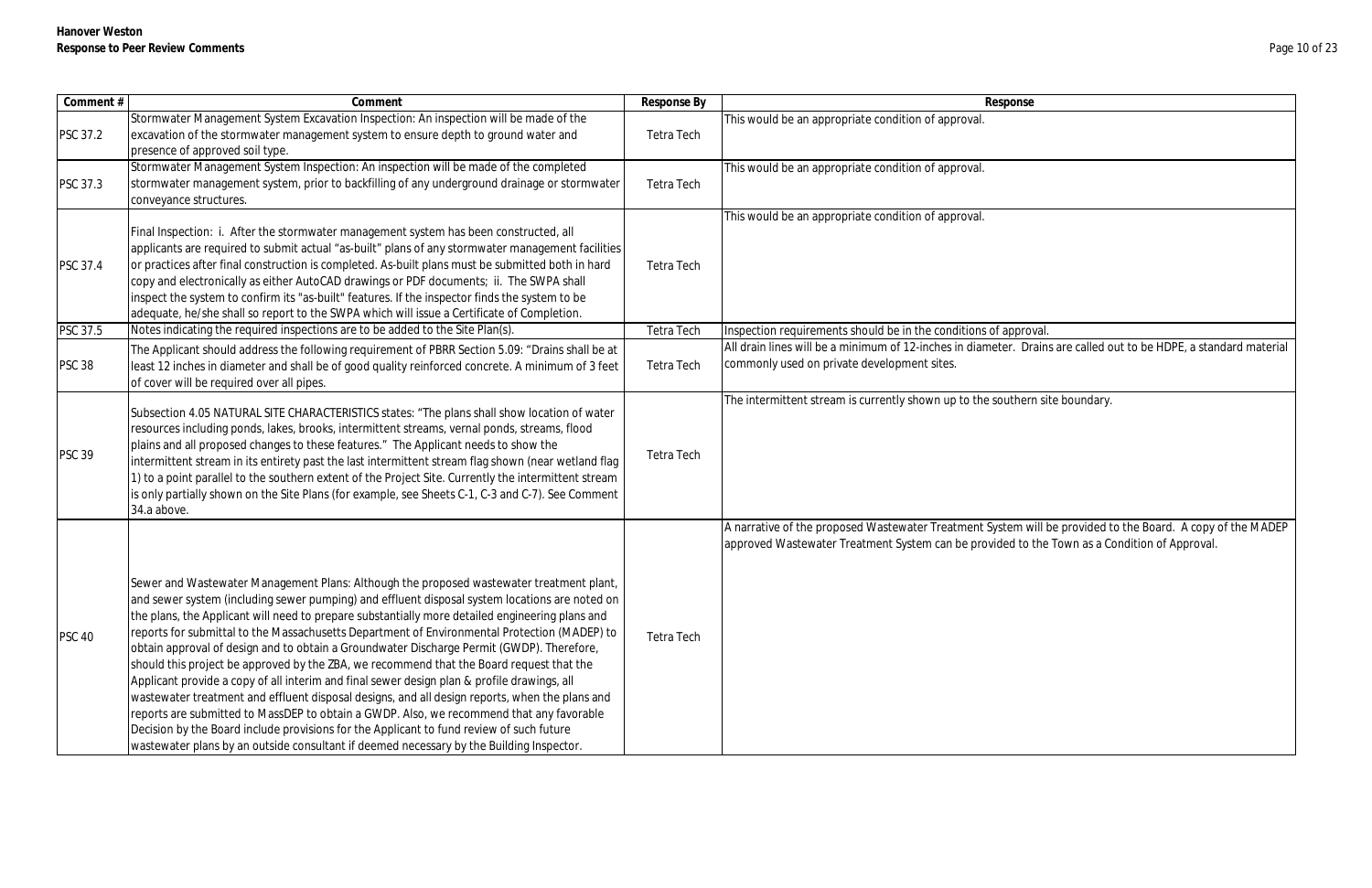| Comment #       | Comment                                                                                                                                                                                                   | Response By       | Response                                                                                                          |
|-----------------|-----------------------------------------------------------------------------------------------------------------------------------------------------------------------------------------------------------|-------------------|-------------------------------------------------------------------------------------------------------------------|
|                 | Stormwater Management System Excavation Inspection: An inspection will be made of the                                                                                                                     |                   | This would be an appropriate condition of approval.                                                               |
| <b>PSC 37.2</b> | excavation of the stormwater management system to ensure depth to ground water and                                                                                                                        | Tetra Tech        |                                                                                                                   |
|                 | presence of approved soil type.                                                                                                                                                                           |                   |                                                                                                                   |
|                 | Stormwater Management System Inspection: An inspection will be made of the completed                                                                                                                      |                   | This would be an appropriate condition of approval.                                                               |
| <b>PSC 37.3</b> | stormwater management system, prior to backfilling of any underground drainage or stormwater                                                                                                              | Tetra Tech        |                                                                                                                   |
|                 | conveyance structures.                                                                                                                                                                                    |                   |                                                                                                                   |
|                 |                                                                                                                                                                                                           |                   | This would be an appropriate condition of approval.                                                               |
|                 | Final Inspection: i. After the stormwater management system has been constructed, all                                                                                                                     |                   |                                                                                                                   |
|                 | applicants are required to submit actual "as-built" plans of any stormwater management facilities                                                                                                         |                   |                                                                                                                   |
| <b>PSC 37.4</b> | or practices after final construction is completed. As-built plans must be submitted both in hard                                                                                                         | Tetra Tech        |                                                                                                                   |
|                 | copy and electronically as either AutoCAD drawings or PDF documents; ii. The SWPA shall                                                                                                                   |                   |                                                                                                                   |
|                 | inspect the system to confirm its "as-built" features. If the inspector finds the system to be                                                                                                            |                   |                                                                                                                   |
|                 | adequate, he/she shall so report to the SWPA which will issue a Certificate of Completion.                                                                                                                |                   |                                                                                                                   |
| PSC 37.5        | Notes indicating the required inspections are to be added to the Site Plan(s).                                                                                                                            | <b>Tetra Tech</b> | Inspection requirements should be in the conditions of approval.                                                  |
|                 | The Applicant should address the following requirement of PBRR Section 5.09: "Drains shall be at                                                                                                          |                   | All drain lines will be a minimum of 12-inches in diameter. Drains are called out to be HDPE, a standard material |
| <b>PSC 38</b>   | least 12 inches in diameter and shall be of good quality reinforced concrete. A minimum of 3 feet                                                                                                         | Tetra Tech        | commonly used on private development sites.                                                                       |
|                 | of cover will be required over all pipes.                                                                                                                                                                 |                   |                                                                                                                   |
|                 |                                                                                                                                                                                                           |                   | The intermittent stream is currently shown up to the southern site boundary.                                      |
|                 | Subsection 4.05 NATURAL SITE CHARACTERISTICS states: "The plans shall show location of water                                                                                                              |                   |                                                                                                                   |
|                 | resources including ponds, lakes, brooks, intermittent streams, vernal ponds, streams, flood                                                                                                              |                   |                                                                                                                   |
| <b>PSC 39</b>   | plains and all proposed changes to these features." The Applicant needs to show the                                                                                                                       | Tetra Tech        |                                                                                                                   |
|                 | intermittent stream in its entirety past the last intermittent stream flag shown (near wetland flag                                                                                                       |                   |                                                                                                                   |
|                 | I) to a point parallel to the southern extent of the Project Site. Currently the intermittent stream<br>is only partially shown on the Site Plans (for example, see Sheets C-1, C-3 and C-7). See Comment |                   |                                                                                                                   |
|                 | 34.a above.                                                                                                                                                                                               |                   |                                                                                                                   |
|                 |                                                                                                                                                                                                           |                   | A narrative of the proposed Wastewater Treatment System will be provided to the Board. A copy of the MADEP        |
|                 |                                                                                                                                                                                                           |                   | approved Wastewater Treatment System can be provided to the Town as a Condition of Approval.                      |
|                 |                                                                                                                                                                                                           |                   |                                                                                                                   |
|                 |                                                                                                                                                                                                           |                   |                                                                                                                   |
|                 | Sewer and Wastewater Management Plans: Although the proposed wastewater treatment plant,                                                                                                                  |                   |                                                                                                                   |
|                 | and sewer system (including sewer pumping) and effluent disposal system locations are noted on<br>the plans, the Applicant will need to prepare substantially more detailed engineering plans and         |                   |                                                                                                                   |
|                 | reports for submittal to the Massachusetts Department of Environmental Protection (MADEP) to                                                                                                              |                   |                                                                                                                   |
| <b>PSC 40</b>   | obtain approval of design and to obtain a Groundwater Discharge Permit (GWDP). Therefore,                                                                                                                 | Tetra Tech        |                                                                                                                   |
|                 | should this project be approved by the ZBA, we recommend that the Board request that the                                                                                                                  |                   |                                                                                                                   |
|                 | Applicant provide a copy of all interim and final sewer design plan & profile drawings, all                                                                                                               |                   |                                                                                                                   |
|                 | wastewater treatment and effluent disposal designs, and all design reports, when the plans and                                                                                                            |                   |                                                                                                                   |
|                 | reports are submitted to MassDEP to obtain a GWDP. Also, we recommend that any favorable                                                                                                                  |                   |                                                                                                                   |
|                 | Decision by the Board include provisions for the Applicant to fund review of such future                                                                                                                  |                   |                                                                                                                   |
|                 | wastewater plans by an outside consultant if deemed necessary by the Building Inspector.                                                                                                                  |                   |                                                                                                                   |
|                 |                                                                                                                                                                                                           |                   |                                                                                                                   |

| onse                                                                                                |
|-----------------------------------------------------------------------------------------------------|
|                                                                                                     |
|                                                                                                     |
|                                                                                                     |
|                                                                                                     |
|                                                                                                     |
|                                                                                                     |
|                                                                                                     |
| pproval.<br>er. Drains are called out to be HDPE, a standard material                               |
|                                                                                                     |
| uthern site boundary.                                                                               |
|                                                                                                     |
|                                                                                                     |
|                                                                                                     |
|                                                                                                     |
| em will be provided to the Board. A copy of the MADEP<br>ed to the Town as a Condition of Approval. |
|                                                                                                     |
|                                                                                                     |
|                                                                                                     |
|                                                                                                     |
|                                                                                                     |
|                                                                                                     |
|                                                                                                     |
|                                                                                                     |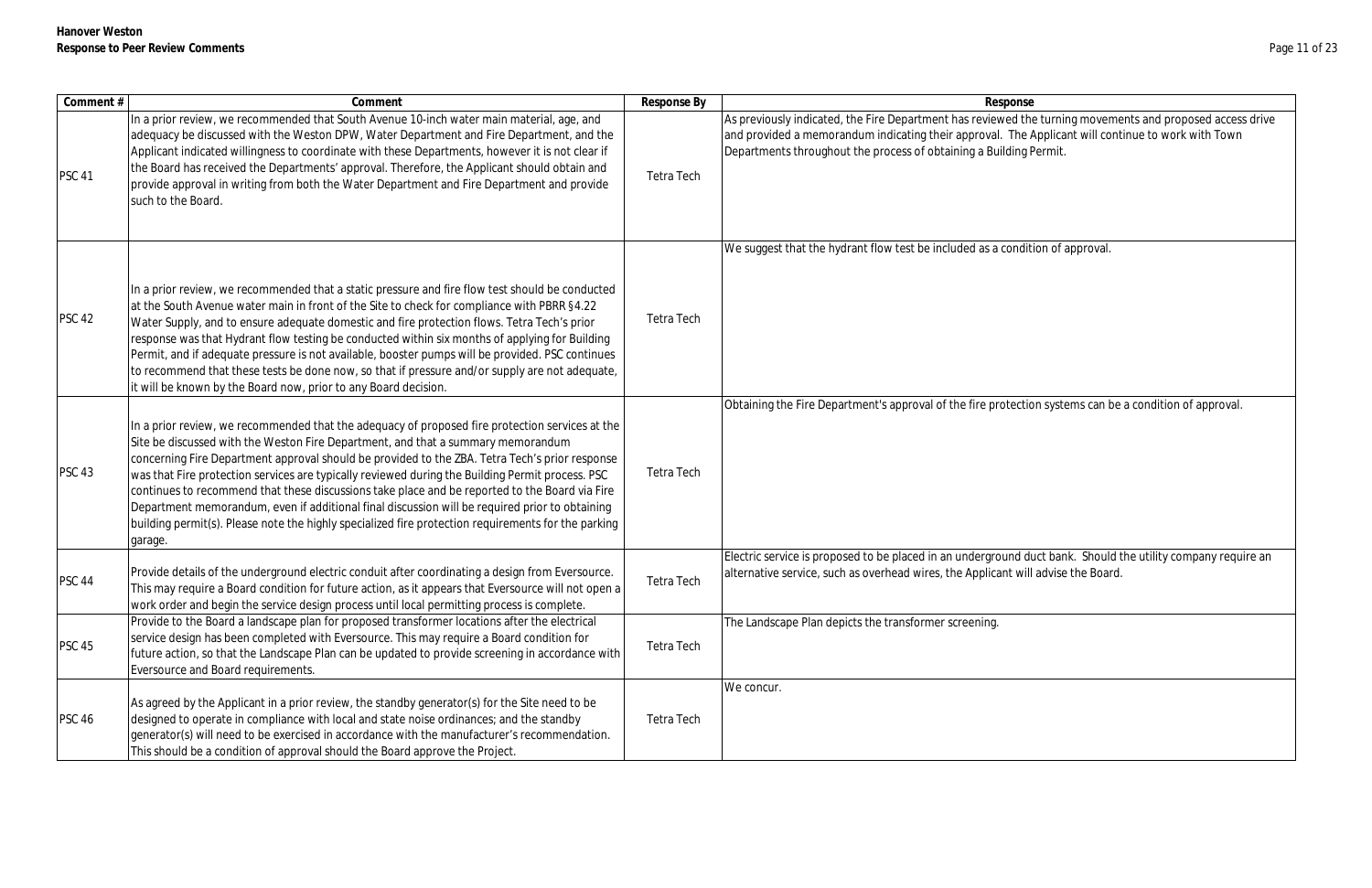| Comment#      | Comment                                                                                                                                                                                                                                                                                                                                                                                                                                                                                                                                                                                                                                                                                                         | Response By       | Response                                                                                                                                                                                                                                                                              |
|---------------|-----------------------------------------------------------------------------------------------------------------------------------------------------------------------------------------------------------------------------------------------------------------------------------------------------------------------------------------------------------------------------------------------------------------------------------------------------------------------------------------------------------------------------------------------------------------------------------------------------------------------------------------------------------------------------------------------------------------|-------------------|---------------------------------------------------------------------------------------------------------------------------------------------------------------------------------------------------------------------------------------------------------------------------------------|
| <b>PSC 41</b> | In a prior review, we recommended that South Avenue 10-inch water main material, age, and<br>adequacy be discussed with the Weston DPW, Water Department and Fire Department, and the<br>Applicant indicated willingness to coordinate with these Departments, however it is not clear if<br>the Board has received the Departments' approval. Therefore, the Applicant should obtain and<br>provide approval in writing from both the Water Department and Fire Department and provide<br>such to the Board.                                                                                                                                                                                                   | Tetra Tech        | As previously indicated, the Fire Department has reviewed the turning movements and proposed access drive<br>and provided a memorandum indicating their approval. The Applicant will continue to work with Town<br>Departments throughout the process of obtaining a Building Permit. |
| <b>PSC 42</b> | In a prior review, we recommended that a static pressure and fire flow test should be conducted<br>at the South Avenue water main in front of the Site to check for compliance with PBRR §4.22<br>Water Supply, and to ensure adequate domestic and fire protection flows. Tetra Tech's prior<br>response was that Hydrant flow testing be conducted within six months of applying for Building<br>Permit, and if adequate pressure is not available, booster pumps will be provided. PSC continues<br>to recommend that these tests be done now, so that if pressure and/or supply are not adequate,<br>it will be known by the Board now, prior to any Board decision.                                        | <b>Tetra Tech</b> | We suggest that the hydrant flow test be included as a condition of approval.                                                                                                                                                                                                         |
| <b>PSC 43</b> | In a prior review, we recommended that the adequacy of proposed fire protection services at the<br>Site be discussed with the Weston Fire Department, and that a summary memorandum<br>concerning Fire Department approval should be provided to the ZBA. Tetra Tech's prior response<br>was that Fire protection services are typically reviewed during the Building Permit process. PSC<br>continues to recommend that these discussions take place and be reported to the Board via Fire<br>Department memorandum, even if additional final discussion will be required prior to obtaining<br>building permit(s). Please note the highly specialized fire protection requirements for the parking<br>garage. | <b>Tetra Tech</b> | Obtaining the Fire Department's approval of the fire protection systems can be a condition of approval.                                                                                                                                                                               |
| <b>PSC 44</b> | Provide details of the underground electric conduit after coordinating a design from Eversource.<br>This may require a Board condition for future action, as it appears that Eversource will not open a<br>work order and begin the service design process until local permitting process is complete.                                                                                                                                                                                                                                                                                                                                                                                                          | Tetra Tech        | Electric service is proposed to be placed in an underground duct bank. Should the utility company require an<br>alternative service, such as overhead wires, the Applicant will advise the Board.                                                                                     |
| <b>PSC 45</b> | Provide to the Board a landscape plan for proposed transformer locations after the electrical<br>service design has been completed with Eversource. This may require a Board condition for<br>future action, so that the Landscape Plan can be updated to provide screening in accordance with<br>Eversource and Board requirements.                                                                                                                                                                                                                                                                                                                                                                            | Tetra Tech        | The Landscape Plan depicts the transformer screening.                                                                                                                                                                                                                                 |
| <b>PSC 46</b> | As agreed by the Applicant in a prior review, the standby generator(s) for the Site need to be<br>designed to operate in compliance with local and state noise ordinances; and the standby<br>generator(s) will need to be exercised in accordance with the manufacturer's recommendation.<br>This should be a condition of approval should the Board approve the Project.                                                                                                                                                                                                                                                                                                                                      | Tetra Tech        | We concur.                                                                                                                                                                                                                                                                            |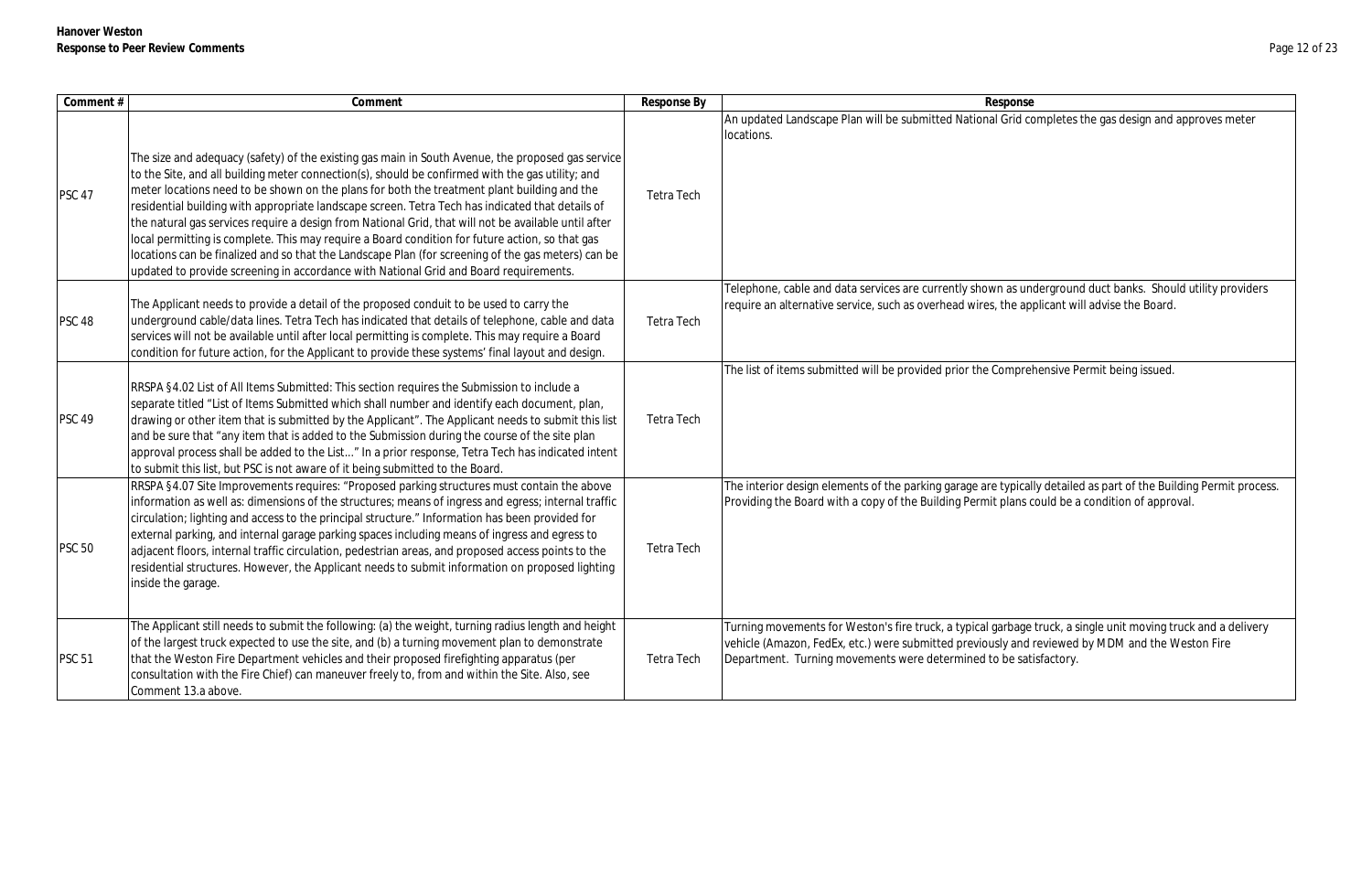| Comment#      | Comment                                                                                                                                                                                                                                                                                                                                                                                                                                                                                                                                                                                                                                                                                                                                                                                                            | Response By       | Response                                                                                                                                                                                                                                                                            |
|---------------|--------------------------------------------------------------------------------------------------------------------------------------------------------------------------------------------------------------------------------------------------------------------------------------------------------------------------------------------------------------------------------------------------------------------------------------------------------------------------------------------------------------------------------------------------------------------------------------------------------------------------------------------------------------------------------------------------------------------------------------------------------------------------------------------------------------------|-------------------|-------------------------------------------------------------------------------------------------------------------------------------------------------------------------------------------------------------------------------------------------------------------------------------|
| <b>PSC 47</b> | The size and adequacy (safety) of the existing gas main in South Avenue, the proposed gas service<br>to the Site, and all building meter connection(s), should be confirmed with the gas utility; and<br>meter locations need to be shown on the plans for both the treatment plant building and the<br>residential building with appropriate landscape screen. Tetra Tech has indicated that details of<br>the natural gas services require a design from National Grid, that will not be available until after<br>local permitting is complete. This may require a Board condition for future action, so that gas<br>locations can be finalized and so that the Landscape Plan (for screening of the gas meters) can be<br>updated to provide screening in accordance with National Grid and Board requirements. | <b>Tetra Tech</b> | An updated Landscape Plan will be submitted National Grid completes the gas design and approves meter<br>locations.                                                                                                                                                                 |
| <b>PSC 48</b> | The Applicant needs to provide a detail of the proposed conduit to be used to carry the<br>underground cable/data lines. Tetra Tech has indicated that details of telephone, cable and data<br>services will not be available until after local permitting is complete. This may require a Board<br>condition for future action, for the Applicant to provide these systems' final layout and design.                                                                                                                                                                                                                                                                                                                                                                                                              | Tetra Tech        | Telephone, cable and data services are currently shown as underground duct banks. Should utility provide<br>require an alternative service, such as overhead wires, the applicant will advise the Board.                                                                            |
| <b>PSC 49</b> | RRSPA §4.02 List of All Items Submitted: This section requires the Submission to include a<br>separate titled "List of Items Submitted which shall number and identify each document, plan,<br>drawing or other item that is submitted by the Applicant". The Applicant needs to submit this list<br>and be sure that "any item that is added to the Submission during the course of the site plan<br>approval process shall be added to the List" In a prior response, Tetra Tech has indicated intent<br>to submit this list, but PSC is not aware of it being submitted to the Board.                                                                                                                                                                                                                           | Tetra Tech        | The list of items submitted will be provided prior the Comprehensive Permit being issued.                                                                                                                                                                                           |
| <b>PSC 50</b> | RRSPA §4.07 Site Improvements requires: "Proposed parking structures must contain the above<br>information as well as: dimensions of the structures; means of ingress and egress; internal traffic<br>circulation; lighting and access to the principal structure." Information has been provided for<br>external parking, and internal garage parking spaces including means of ingress and egress to<br>adjacent floors, internal traffic circulation, pedestrian areas, and proposed access points to the<br>residential structures. However, the Applicant needs to submit information on proposed lighting<br>inside the garage.                                                                                                                                                                              | <b>Tetra Tech</b> | The interior design elements of the parking garage are typically detailed as part of the Building Permit prod<br>Providing the Board with a copy of the Building Permit plans could be a condition of approval.                                                                     |
| <b>PSC 51</b> | The Applicant still needs to submit the following: (a) the weight, turning radius length and height<br>of the largest truck expected to use the site, and (b) a turning movement plan to demonstrate<br>that the Weston Fire Department vehicles and their proposed firefighting apparatus (per<br>consultation with the Fire Chief) can maneuver freely to, from and within the Site. Also, see<br>Comment 13.a above.                                                                                                                                                                                                                                                                                                                                                                                            | <b>Tetra Tech</b> | Turning movements for Weston's fire truck, a typical garbage truck, a single unit moving truck and a delive<br>vehicle (Amazon, FedEx, etc.) were submitted previously and reviewed by MDM and the Weston Fire<br>Department. Turning movements were determined to be satisfactory. |

as underground duct banks. Should utility providers the applicant will advise the Board.

typically detailed as part of the Building Permit process. Providing the Building of approval.

rbage truck, a single unit moving truck and a delivery y and reviewed by MDM and the Weston Fire be satisfactory.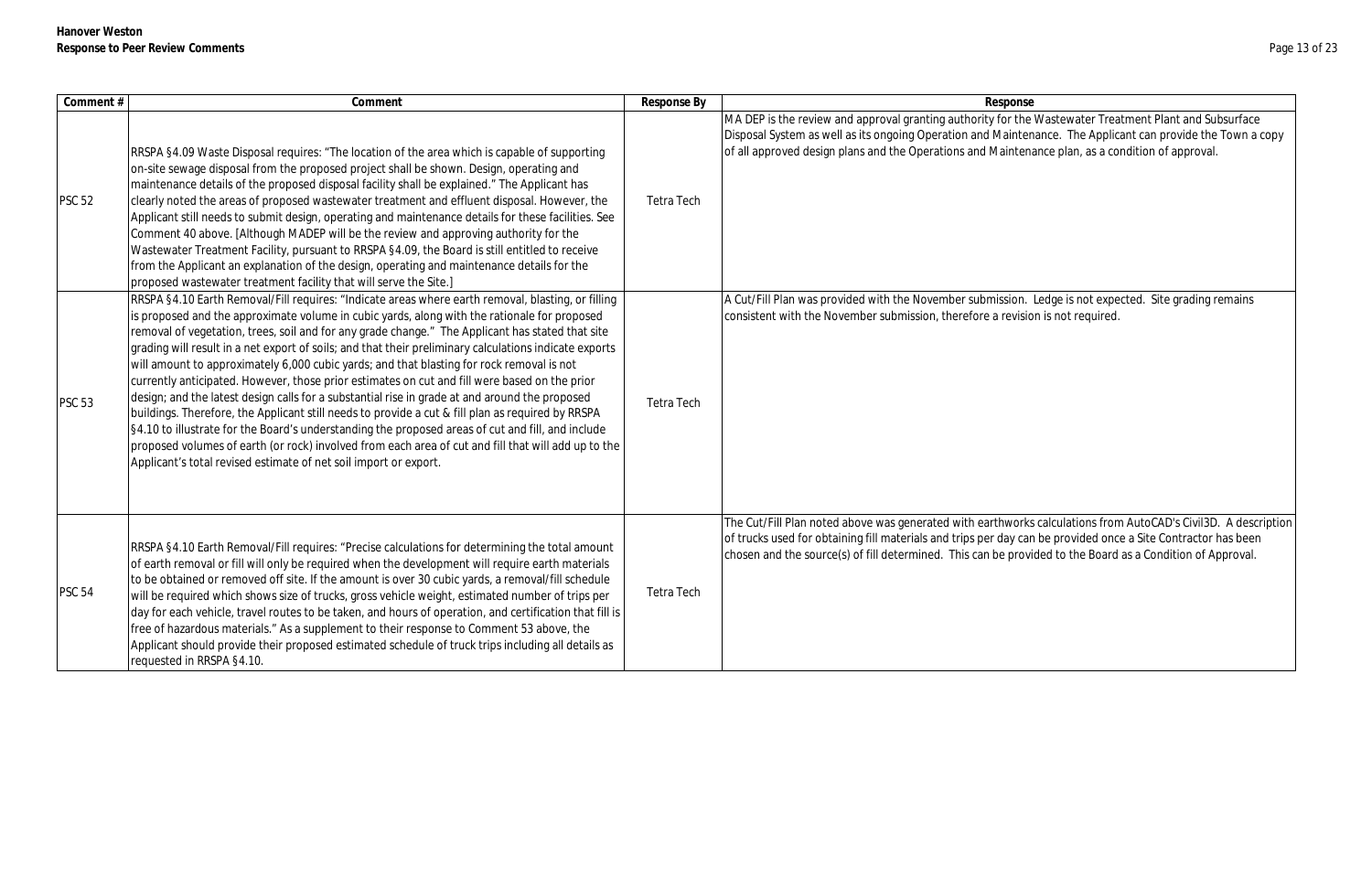| Comment #     | Comment                                                                                                                                                                                                                                                                                                                                                                                                                                                                                                                                                                                                                                                                                                                                                                                                                                                                                                                                                                                                                                                                                               | Response By       | Response                                                                                                                                                                                           |
|---------------|-------------------------------------------------------------------------------------------------------------------------------------------------------------------------------------------------------------------------------------------------------------------------------------------------------------------------------------------------------------------------------------------------------------------------------------------------------------------------------------------------------------------------------------------------------------------------------------------------------------------------------------------------------------------------------------------------------------------------------------------------------------------------------------------------------------------------------------------------------------------------------------------------------------------------------------------------------------------------------------------------------------------------------------------------------------------------------------------------------|-------------------|----------------------------------------------------------------------------------------------------------------------------------------------------------------------------------------------------|
| <b>PSC 52</b> | RRSPA §4.09 Waste Disposal requires: "The location of the area which is capable of supporting<br>on-site sewage disposal from the proposed project shall be shown. Design, operating and<br>maintenance details of the proposed disposal facility shall be explained." The Applicant has<br>clearly noted the areas of proposed wastewater treatment and effluent disposal. However, the<br>Applicant still needs to submit design, operating and maintenance details for these facilities. See<br>Comment 40 above. [Although MADEP will be the review and approving authority for the<br>Wastewater Treatment Facility, pursuant to RRSPA §4.09, the Board is still entitled to receive<br>from the Applicant an explanation of the design, operating and maintenance details for the<br>proposed wastewater treatment facility that will serve the Site.]                                                                                                                                                                                                                                          | <b>Tetra Tech</b> | MA DEP is the review and approval granting authority for the<br>Disposal System as well as its ongoing Operation and Mainten<br>of all approved design plans and the Operations and Maintena       |
| <b>PSC 53</b> | RRSPA §4.10 Earth Removal/Fill requires: "Indicate areas where earth removal, blasting, or filling<br>is proposed and the approximate volume in cubic yards, along with the rationale for proposed<br>removal of vegetation, trees, soil and for any grade change." The Applicant has stated that site<br>grading will result in a net export of soils; and that their preliminary calculations indicate exports<br>will amount to approximately 6,000 cubic yards; and that blasting for rock removal is not<br>currently anticipated. However, those prior estimates on cut and fill were based on the prior<br>design; and the latest design calls for a substantial rise in grade at and around the proposed<br>buildings. Therefore, the Applicant still needs to provide a cut & fill plan as required by RRSPA<br>§4.10 to illustrate for the Board's understanding the proposed areas of cut and fill, and include<br>proposed volumes of earth (or rock) involved from each area of cut and fill that will add up to the<br>Applicant's total revised estimate of net soil import or export. | <b>Tetra Tech</b> | A Cut/Fill Plan was provided with the November submission.<br>consistent with the November submission, therefore a revisio                                                                         |
| <b>PSC 54</b> | RRSPA §4.10 Earth Removal/Fill requires: "Precise calculations for determining the total amount<br>of earth removal or fill will only be required when the development will require earth materials<br>to be obtained or removed off site. If the amount is over 30 cubic yards, a removal/fill schedule<br>will be required which shows size of trucks, gross vehicle weight, estimated number of trips per<br>day for each vehicle, travel routes to be taken, and hours of operation, and certification that fill is<br>free of hazardous materials." As a supplement to their response to Comment 53 above, the<br>Applicant should provide their proposed estimated schedule of truck trips including all details as<br>requested in RRSPA §4.10.                                                                                                                                                                                                                                                                                                                                                | Tetra Tech        | The Cut/Fill Plan noted above was generated with earthworks<br>of trucks used for obtaining fill materials and trips per day car<br>chosen and the source(s) of fill determined. This can be provi |

or the Wastewater Treatment Plant and Subsurface aintenance. The Applicant can provide the Town a copy aintenance plan, as a condition of approval.

sion. Ledge is not expected. Site grading remains revision is not required.

IntertyFill Plan above above was changed with the control with earthworks calculations from AutoCAD's Civil3D. A description lay can be provided once a Site Contractor has been eprovided to the Board as a Condition of Approval.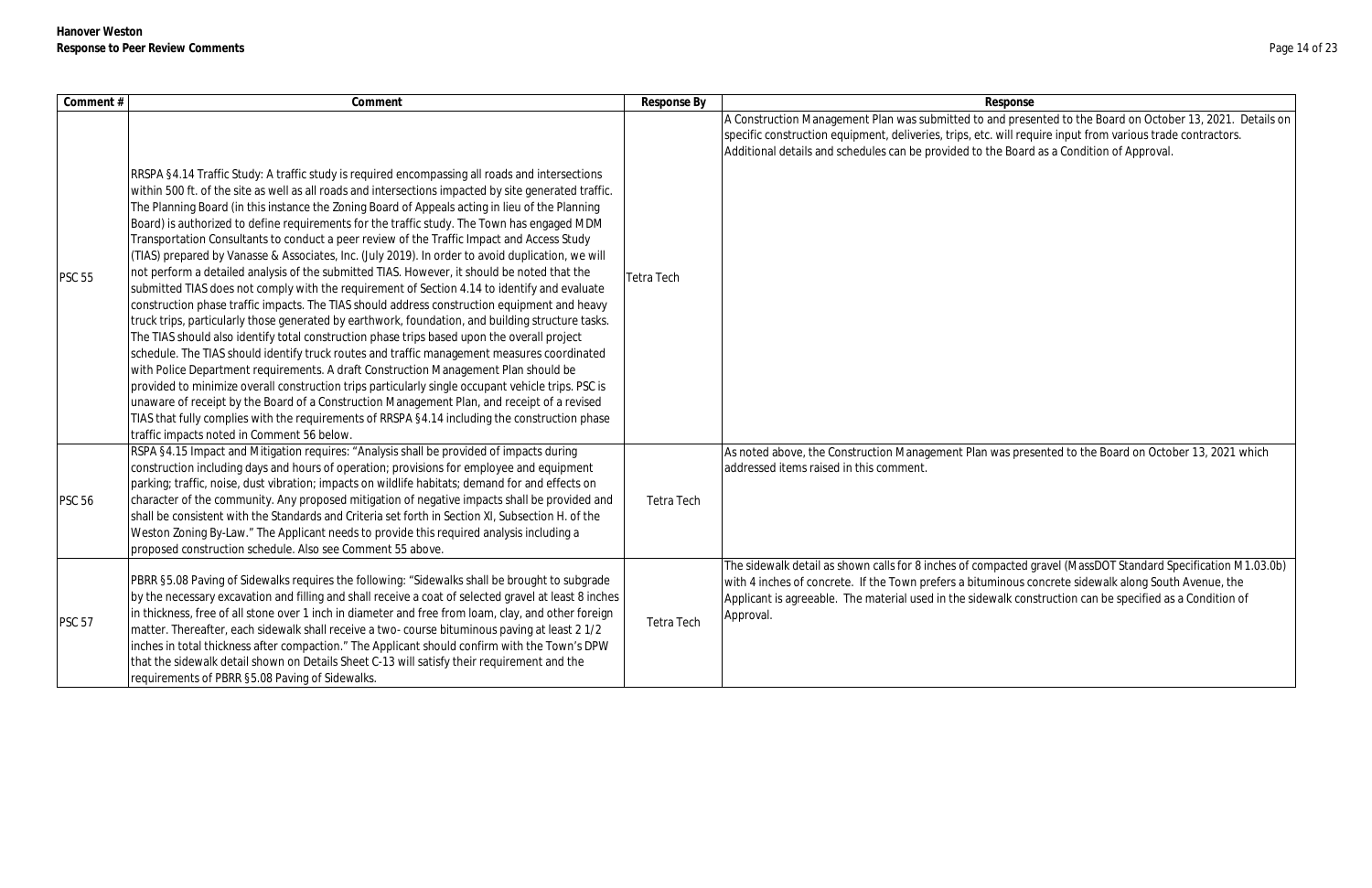| Comment #     | Comment                                                                                                                                                                                                                                                                                                                                                                                                                                                                                                                                                                                                                                                                                                                                                                                                                                                                                                                                                                                                                                                                                                                                                                                                                                                                                                                                                                                                                                                                                                                                                                                                                                                     | Response By | Response                                                                                                                                                                                                                                                                                                                                   |
|---------------|-------------------------------------------------------------------------------------------------------------------------------------------------------------------------------------------------------------------------------------------------------------------------------------------------------------------------------------------------------------------------------------------------------------------------------------------------------------------------------------------------------------------------------------------------------------------------------------------------------------------------------------------------------------------------------------------------------------------------------------------------------------------------------------------------------------------------------------------------------------------------------------------------------------------------------------------------------------------------------------------------------------------------------------------------------------------------------------------------------------------------------------------------------------------------------------------------------------------------------------------------------------------------------------------------------------------------------------------------------------------------------------------------------------------------------------------------------------------------------------------------------------------------------------------------------------------------------------------------------------------------------------------------------------|-------------|--------------------------------------------------------------------------------------------------------------------------------------------------------------------------------------------------------------------------------------------------------------------------------------------------------------------------------------------|
| <b>PSC 55</b> | RRSPA §4.14 Traffic Study: A traffic study is required encompassing all roads and intersections<br>within 500 ft. of the site as well as all roads and intersections impacted by site generated traffic.<br>The Planning Board (in this instance the Zoning Board of Appeals acting in lieu of the Planning<br>Board) is authorized to define requirements for the traffic study. The Town has engaged MDM<br>Transportation Consultants to conduct a peer review of the Traffic Impact and Access Study<br>(TIAS) prepared by Vanasse & Associates, Inc. (July 2019). In order to avoid duplication, we will<br>not perform a detailed analysis of the submitted TIAS. However, it should be noted that the<br>submitted TIAS does not comply with the requirement of Section 4.14 to identify and evaluate<br>construction phase traffic impacts. The TIAS should address construction equipment and heavy<br>truck trips, particularly those generated by earthwork, foundation, and building structure tasks.<br>The TIAS should also identify total construction phase trips based upon the overall project<br>schedule. The TIAS should identify truck routes and traffic management measures coordinated<br>with Police Department requirements. A draft Construction Management Plan should be<br>provided to minimize overall construction trips particularly single occupant vehicle trips. PSC is<br>unaware of receipt by the Board of a Construction Management Plan, and receipt of a revised<br>TIAS that fully complies with the requirements of RRSPA §4.14 including the construction phase<br>traffic impacts noted in Comment 56 below. | Tetra Tech  | A Construction Management Plan was submitted to and presented to the Board on October 13, 2021. De<br>specific construction equipment, deliveries, trips, etc. will require input from various trade contractors.<br>Additional details and schedules can be provided to the Board as a Condition of Approval.                             |
| <b>PSC 56</b> | RSPA §4.15 Impact and Mitigation requires: "Analysis shall be provided of impacts during<br>construction including days and hours of operation; provisions for employee and equipment<br>parking; traffic, noise, dust vibration; impacts on wildlife habitats; demand for and effects on<br>character of the community. Any proposed mitigation of negative impacts shall be provided and<br>shall be consistent with the Standards and Criteria set forth in Section XI, Subsection H. of the<br>Weston Zoning By-Law." The Applicant needs to provide this required analysis including a<br>proposed construction schedule. Also see Comment 55 above.                                                                                                                                                                                                                                                                                                                                                                                                                                                                                                                                                                                                                                                                                                                                                                                                                                                                                                                                                                                                   | Tetra Tech  | As noted above, the Construction Management Plan was presented to the Board on October 13, 2021 wh<br>addressed items raised in this comment.                                                                                                                                                                                              |
| <b>PSC 57</b> | PBRR §5.08 Paving of Sidewalks requires the following: "Sidewalks shall be brought to subgrade<br>by the necessary excavation and filling and shall receive a coat of selected gravel at least 8 inches<br>in thickness, free of all stone over 1 inch in diameter and free from loam, clay, and other foreign<br>matter. Thereafter, each sidewalk shall receive a two- course bituminous paving at least 2 1/2<br>inches in total thickness after compaction." The Applicant should confirm with the Town's DPW<br>that the sidewalk detail shown on Details Sheet C-13 will satisfy their requirement and the<br>requirements of PBRR §5.08 Paving of Sidewalks.                                                                                                                                                                                                                                                                                                                                                                                                                                                                                                                                                                                                                                                                                                                                                                                                                                                                                                                                                                                         | Tetra Tech  | The sidewalk detail as shown calls for 8 inches of compacted gravel (MassDOT Standard Specification M1.<br>with 4 inches of concrete. If the Town prefers a bituminous concrete sidewalk along South Avenue, the<br>Applicant is agreeable. The material used in the sidewalk construction can be specified as a Condition of<br>Approval. |

d presented to the Board on October 13, 2021. Details on vill require input from various trade contractors. Board as a Condition of Approval. as presented to the Board on October 13, 2021 which acted gravel (MassDOT Standard Specification M1.03.0b) nous concrete sidewalk along South Avenue, the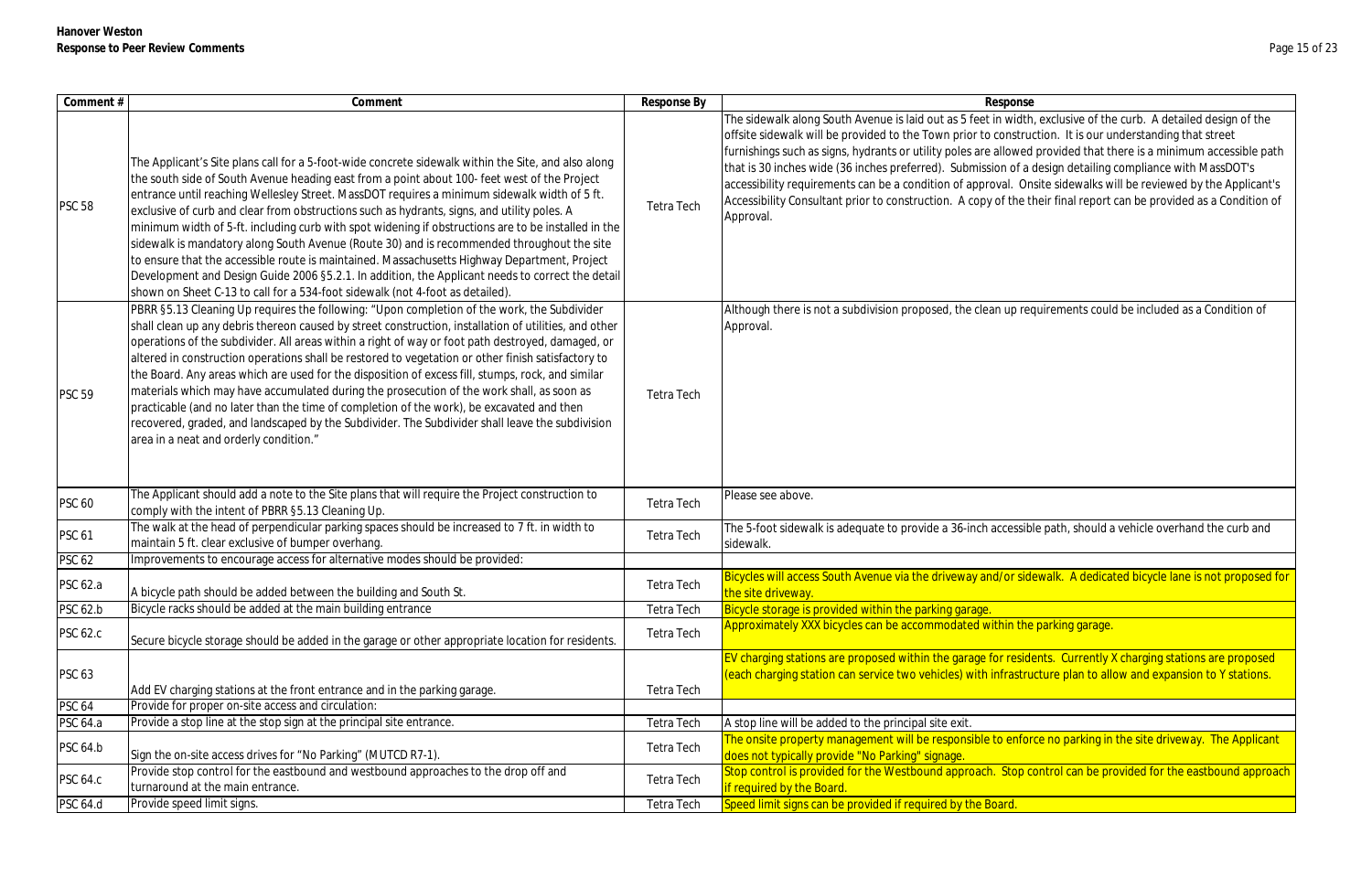| Comment #       | Comment                                                                                                                                                                                                                                                                                                                                                                                                                                                                                                                                                                                                                                                                                                                                                                                                                                                                                      | Response By       | Response                                                                                                                                                                                                                                                                                                                                                                                                                                                                                                                                                                                                                                                                                                           |
|-----------------|----------------------------------------------------------------------------------------------------------------------------------------------------------------------------------------------------------------------------------------------------------------------------------------------------------------------------------------------------------------------------------------------------------------------------------------------------------------------------------------------------------------------------------------------------------------------------------------------------------------------------------------------------------------------------------------------------------------------------------------------------------------------------------------------------------------------------------------------------------------------------------------------|-------------------|--------------------------------------------------------------------------------------------------------------------------------------------------------------------------------------------------------------------------------------------------------------------------------------------------------------------------------------------------------------------------------------------------------------------------------------------------------------------------------------------------------------------------------------------------------------------------------------------------------------------------------------------------------------------------------------------------------------------|
| <b>PSC 58</b>   | The Applicant's Site plans call for a 5-foot-wide concrete sidewalk within the Site, and also along<br>the south side of South Avenue heading east from a point about 100- feet west of the Project<br>entrance until reaching Wellesley Street. MassDOT requires a minimum sidewalk width of 5 ft.<br>exclusive of curb and clear from obstructions such as hydrants, signs, and utility poles. A<br>minimum width of 5-ft. including curb with spot widening if obstructions are to be installed in the<br>sidewalk is mandatory along South Avenue (Route 30) and is recommended throughout the site<br>to ensure that the accessible route is maintained. Massachusetts Highway Department, Project<br>Development and Design Guide 2006 §5.2.1. In addition, the Applicant needs to correct the detail<br>shown on Sheet C-13 to call for a 534-foot sidewalk (not 4-foot as detailed). | Tetra Tech        | The sidewalk along South Avenue is laid out as 5 feet in width, exclusive of the curb. A detailed design of the<br>offsite sidewalk will be provided to the Town prior to construction. It is our understanding that street<br>furnishings such as signs, hydrants or utility poles are allowed provided that there is a minimum accessible path<br>that is 30 inches wide (36 inches preferred). Submission of a design detailing compliance with MassDOT's<br>accessibility requirements can be a condition of approval. Onsite sidewalks will be reviewed by the Applicant's<br>Accessibility Consultant prior to construction. A copy of the their final report can be provided as a Condition of<br>Approval. |
| <b>PSC 59</b>   | PBRR §5.13 Cleaning Up requires the following: "Upon completion of the work, the Subdivider<br>shall clean up any debris thereon caused by street construction, installation of utilities, and other<br>operations of the subdivider. All areas within a right of way or foot path destroyed, damaged, or<br>altered in construction operations shall be restored to vegetation or other finish satisfactory to<br>the Board. Any areas which are used for the disposition of excess fill, stumps, rock, and similar<br>materials which may have accumulated during the prosecution of the work shall, as soon as<br>practicable (and no later than the time of completion of the work), be excavated and then<br>recovered, graded, and landscaped by the Subdivider. The Subdivider shall leave the subdivision<br>area in a neat and orderly condition."                                  | <b>Tetra Tech</b> | Although there is not a subdivision proposed, the clean up requirements could be included as a Condition of<br>Approval.                                                                                                                                                                                                                                                                                                                                                                                                                                                                                                                                                                                           |
| <b>PSC 60</b>   | The Applicant should add a note to the Site plans that will require the Project construction to<br>comply with the intent of PBRR §5.13 Cleaning Up.                                                                                                                                                                                                                                                                                                                                                                                                                                                                                                                                                                                                                                                                                                                                         | Tetra Tech        | Please see above.                                                                                                                                                                                                                                                                                                                                                                                                                                                                                                                                                                                                                                                                                                  |
| <b>PSC 61</b>   | The walk at the head of perpendicular parking spaces should be increased to 7 ft. in width to<br>maintain 5 ft. clear exclusive of bumper overhang.                                                                                                                                                                                                                                                                                                                                                                                                                                                                                                                                                                                                                                                                                                                                          | Tetra Tech        | The 5-foot sidewalk is adequate to provide a 36-inch accessible path, should a vehicle overhand the curb and<br>sidewalk.                                                                                                                                                                                                                                                                                                                                                                                                                                                                                                                                                                                          |
| <b>PSC 62</b>   | Improvements to encourage access for alternative modes should be provided:                                                                                                                                                                                                                                                                                                                                                                                                                                                                                                                                                                                                                                                                                                                                                                                                                   |                   |                                                                                                                                                                                                                                                                                                                                                                                                                                                                                                                                                                                                                                                                                                                    |
| <b>PSC 62.a</b> | A bicycle path should be added between the building and South St.                                                                                                                                                                                                                                                                                                                                                                                                                                                                                                                                                                                                                                                                                                                                                                                                                            | <b>Tetra Tech</b> | Bicycles will access South Avenue via the driveway and/or sidewalk. A dedicated bicycle lane is not proposed for<br>the site driveway.                                                                                                                                                                                                                                                                                                                                                                                                                                                                                                                                                                             |
| <b>PSC 62.b</b> | Bicycle racks should be added at the main building entrance                                                                                                                                                                                                                                                                                                                                                                                                                                                                                                                                                                                                                                                                                                                                                                                                                                  | Tetra Tech        | Bicycle storage is provided within the parking garage.                                                                                                                                                                                                                                                                                                                                                                                                                                                                                                                                                                                                                                                             |
| <b>PSC 62.c</b> | Secure bicycle storage should be added in the garage or other appropriate location for residents.                                                                                                                                                                                                                                                                                                                                                                                                                                                                                                                                                                                                                                                                                                                                                                                            | Tetra Tech        | Approximately XXX bicycles can be accommodated within the parking garage.                                                                                                                                                                                                                                                                                                                                                                                                                                                                                                                                                                                                                                          |
| <b>PSC 63</b>   | Add EV charging stations at the front entrance and in the parking garage.                                                                                                                                                                                                                                                                                                                                                                                                                                                                                                                                                                                                                                                                                                                                                                                                                    | <b>Tetra Tech</b> | EV charging stations are proposed within the garage for residents. Currently X charging stations are proposed<br>(each charging station can service two vehicles) with infrastructure plan to allow and expansion to Y stations.                                                                                                                                                                                                                                                                                                                                                                                                                                                                                   |
| <b>PSC 64</b>   | Provide for proper on-site access and circulation:                                                                                                                                                                                                                                                                                                                                                                                                                                                                                                                                                                                                                                                                                                                                                                                                                                           |                   |                                                                                                                                                                                                                                                                                                                                                                                                                                                                                                                                                                                                                                                                                                                    |
| <b>PSC 64.a</b> | Provide a stop line at the stop sign at the principal site entrance.                                                                                                                                                                                                                                                                                                                                                                                                                                                                                                                                                                                                                                                                                                                                                                                                                         | <b>Tetra Tech</b> | A stop line will be added to the principal site exit.                                                                                                                                                                                                                                                                                                                                                                                                                                                                                                                                                                                                                                                              |
| <b>PSC 64.b</b> | Sign the on-site access drives for "No Parking" (MUTCD R7-1).                                                                                                                                                                                                                                                                                                                                                                                                                                                                                                                                                                                                                                                                                                                                                                                                                                | Tetra Tech        | The onsite property management will be responsible to enforce no parking in the site driveway. The Applicant<br>does not typically provide "No Parking" signage.                                                                                                                                                                                                                                                                                                                                                                                                                                                                                                                                                   |
| <b>PSC 64.c</b> | Provide stop control for the eastbound and westbound approaches to the drop off and<br>turnaround at the main entrance.                                                                                                                                                                                                                                                                                                                                                                                                                                                                                                                                                                                                                                                                                                                                                                      | Tetra Tech        | Stop control is provided for the Westbound approach. Stop control can be provided for the eastbound approach<br>f required by the Board.                                                                                                                                                                                                                                                                                                                                                                                                                                                                                                                                                                           |
| PSC 64.d        | Provide speed limit signs.                                                                                                                                                                                                                                                                                                                                                                                                                                                                                                                                                                                                                                                                                                                                                                                                                                                                   | <b>Tetra Tech</b> | Speed limit signs can be provided if required by the Board.                                                                                                                                                                                                                                                                                                                                                                                                                                                                                                                                                                                                                                                        |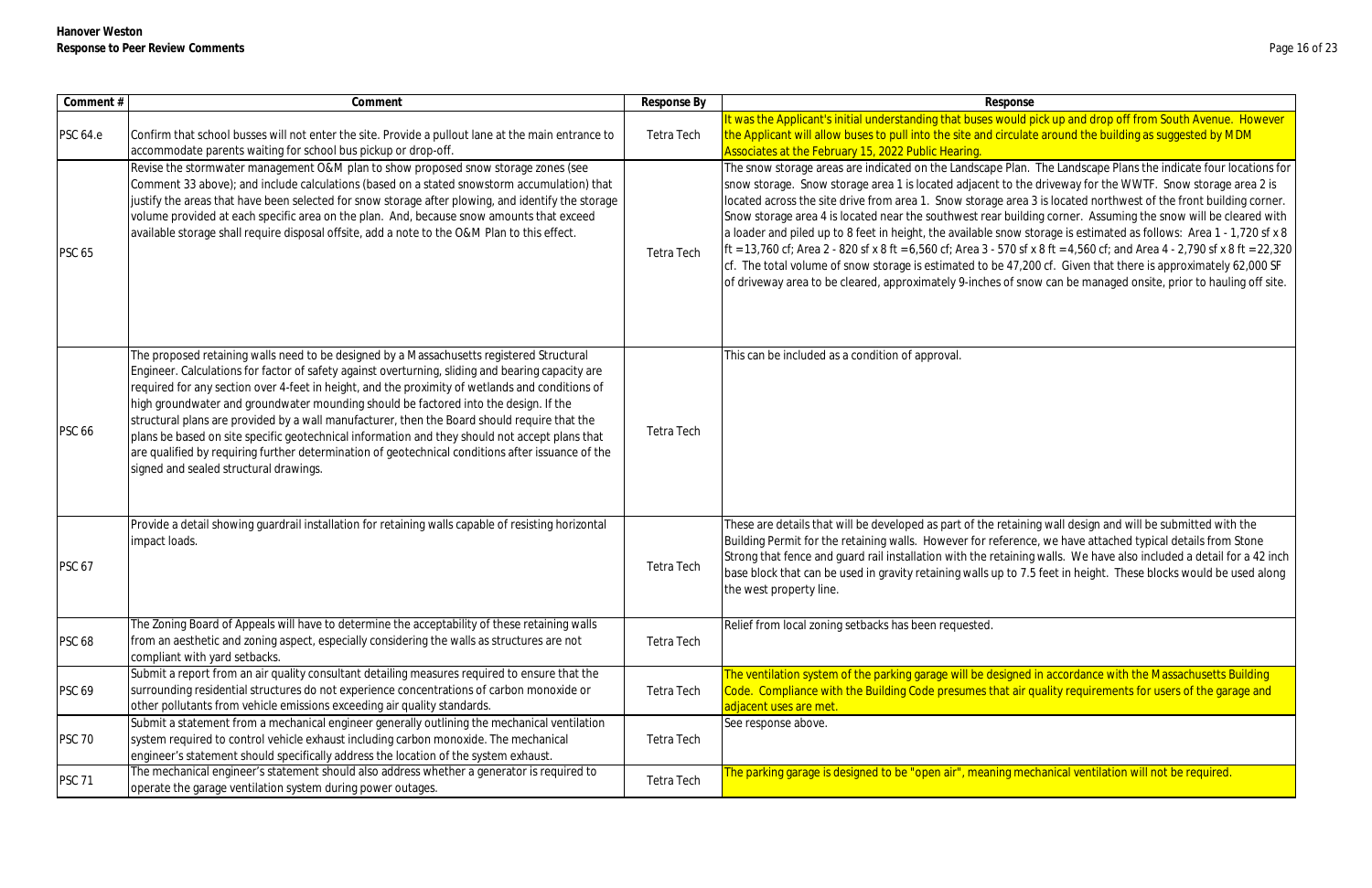| Comment#        | Comment                                                                                                                                                                                                                                                                                                                                                                                                                                                                                                                                                                                                                                                                                                                                    | Response By | Response                                                                                                                                                                                                                                                                                                                                                                                                                                                                                                                                                                                                                                                                                                                                                                                                                                                               |
|-----------------|--------------------------------------------------------------------------------------------------------------------------------------------------------------------------------------------------------------------------------------------------------------------------------------------------------------------------------------------------------------------------------------------------------------------------------------------------------------------------------------------------------------------------------------------------------------------------------------------------------------------------------------------------------------------------------------------------------------------------------------------|-------------|------------------------------------------------------------------------------------------------------------------------------------------------------------------------------------------------------------------------------------------------------------------------------------------------------------------------------------------------------------------------------------------------------------------------------------------------------------------------------------------------------------------------------------------------------------------------------------------------------------------------------------------------------------------------------------------------------------------------------------------------------------------------------------------------------------------------------------------------------------------------|
| <b>PSC 64.e</b> | Confirm that school busses will not enter the site. Provide a pullout lane at the main entrance to<br>accommodate parents waiting for school bus pickup or drop-off.                                                                                                                                                                                                                                                                                                                                                                                                                                                                                                                                                                       | Tetra Tech  | t was the Applicant's initial understanding that buses would pick up and drop off from South Avenue<br>the Applicant will allow buses to pull into the site and circulate around the building as suggested by N<br>Associates at the February 15, 2022 Public Hearing.                                                                                                                                                                                                                                                                                                                                                                                                                                                                                                                                                                                                 |
| <b>PSC 65</b>   | Revise the stormwater management O&M plan to show proposed snow storage zones (see<br>Comment 33 above); and include calculations (based on a stated snowstorm accumulation) that<br>justify the areas that have been selected for snow storage after plowing, and identify the storage<br>volume provided at each specific area on the plan. And, because snow amounts that exceed<br>available storage shall require disposal offsite, add a note to the O&M Plan to this effect.                                                                                                                                                                                                                                                        | Tetra Tech  | The snow storage areas are indicated on the Landscape Plan. The Landscape Plans the indicate four I<br>snow storage. Snow storage area 1 is located adjacent to the driveway for the WWTF. Snow storage<br>located across the site drive from area 1. Snow storage area 3 is located northwest of the front build<br>Snow storage area 4 is located near the southwest rear building corner. Assuming the snow will be c<br>a loader and piled up to 8 feet in height, the available snow storage is estimated as follows: Area 1 -<br>Ift = 13,760 cf; Area 2 - 820 sf x 8 ft = 6,560 cf; Area 3 - 570 sf x 8 ft = 4,560 cf; and Area 4 - 2,790 sf x 8<br>cf. The total volume of snow storage is estimated to be 47,200 cf. Given that there is approximately<br>of driveway area to be cleared, approximately 9-inches of snow can be managed onsite, prior to haul |
| <b>PSC 66</b>   | The proposed retaining walls need to be designed by a Massachusetts registered Structural<br>Engineer. Calculations for factor of safety against overturning, sliding and bearing capacity are<br>required for any section over 4-feet in height, and the proximity of wetlands and conditions of<br>high groundwater and groundwater mounding should be factored into the design. If the<br>structural plans are provided by a wall manufacturer, then the Board should require that the<br>plans be based on site specific geotechnical information and they should not accept plans that<br>are qualified by requiring further determination of geotechnical conditions after issuance of the<br>signed and sealed structural drawings. | Tetra Tech  | This can be included as a condition of approval.                                                                                                                                                                                                                                                                                                                                                                                                                                                                                                                                                                                                                                                                                                                                                                                                                       |
| <b>PSC 67</b>   | Provide a detail showing guardrail installation for retaining walls capable of resisting horizontal<br>impact loads.                                                                                                                                                                                                                                                                                                                                                                                                                                                                                                                                                                                                                       | Tetra Tech  | These are details that will be developed as part of the retaining wall design and will be submitted wit<br>Building Permit for the retaining walls. However for reference, we have attached typical details from<br>Strong that fence and guard rail installation with the retaining walls. We have also included a detail f<br>base block that can be used in gravity retaining walls up to 7.5 feet in height. These blocks would be<br>the west property line.                                                                                                                                                                                                                                                                                                                                                                                                      |
| <b>PSC 68</b>   | The Zoning Board of Appeals will have to determine the acceptability of these retaining walls<br>from an aesthetic and zoning aspect, especially considering the walls as structures are not<br>compliant with yard setbacks.                                                                                                                                                                                                                                                                                                                                                                                                                                                                                                              | Tetra Tech  | Relief from local zoning setbacks has been requested.                                                                                                                                                                                                                                                                                                                                                                                                                                                                                                                                                                                                                                                                                                                                                                                                                  |
| <b>PSC 69</b>   | Submit a report from an air quality consultant detailing measures required to ensure that the<br>surrounding residential structures do not experience concentrations of carbon monoxide or<br>other pollutants from vehicle emissions exceeding air quality standards.                                                                                                                                                                                                                                                                                                                                                                                                                                                                     | Tetra Tech  | The ventilation system of the parking garage will be designed in accordance with the Massachusetts I<br>Code. Compliance with the Building Code presumes that air quality requirements for users of the gar<br><mark>adjacent uses are met.</mark>                                                                                                                                                                                                                                                                                                                                                                                                                                                                                                                                                                                                                     |
| <b>PSC 70</b>   | Submit a statement from a mechanical engineer generally outlining the mechanical ventilation<br>system required to control vehicle exhaust including carbon monoxide. The mechanical<br>engineer's statement should specifically address the location of the system exhaust.                                                                                                                                                                                                                                                                                                                                                                                                                                                               | Tetra Tech  | See response above.                                                                                                                                                                                                                                                                                                                                                                                                                                                                                                                                                                                                                                                                                                                                                                                                                                                    |
| <b>PSC 71</b>   | The mechanical engineer's statement should also address whether a generator is required to<br>operate the garage ventilation system during power outages.                                                                                                                                                                                                                                                                                                                                                                                                                                                                                                                                                                                  | Tetra Tech  | The parking garage is designed to be "open air", meaning mechanical ventilation will not be required.                                                                                                                                                                                                                                                                                                                                                                                                                                                                                                                                                                                                                                                                                                                                                                  |

It was the Applicant understanding understanding that the verth of that include the sound that the verther of t<br>It were that Avenue. However the Vietnam South Avenue. However irculate around the building as suggested by MDM

Plan. The Landscape Plans the indicate four locations for to the driveway for the WWTF. Snow storage area 2 is area 3 is located northwest of the front building corner. building corner. Assuming the snow will be cleared with now storage is estimated as follows: Area 1 - 1,720 sf x 8  $570$  sf x 8 ft = 4,560 cf; and Area 4 - 2,790 sf x 8 ft = 22,320 eft. Given that there is approximately 62,000 SF of snow can be managed onsite, prior to hauling off site.

etaining wall design and will be submitted with the erence, we have attached typical details from Stone taining walls. We have also included a detail for a 42 inch to 7.5 feet in height. These blocks would be used along

igned in accordance with the Massachusetts Building t air quality requirements for users of the garage and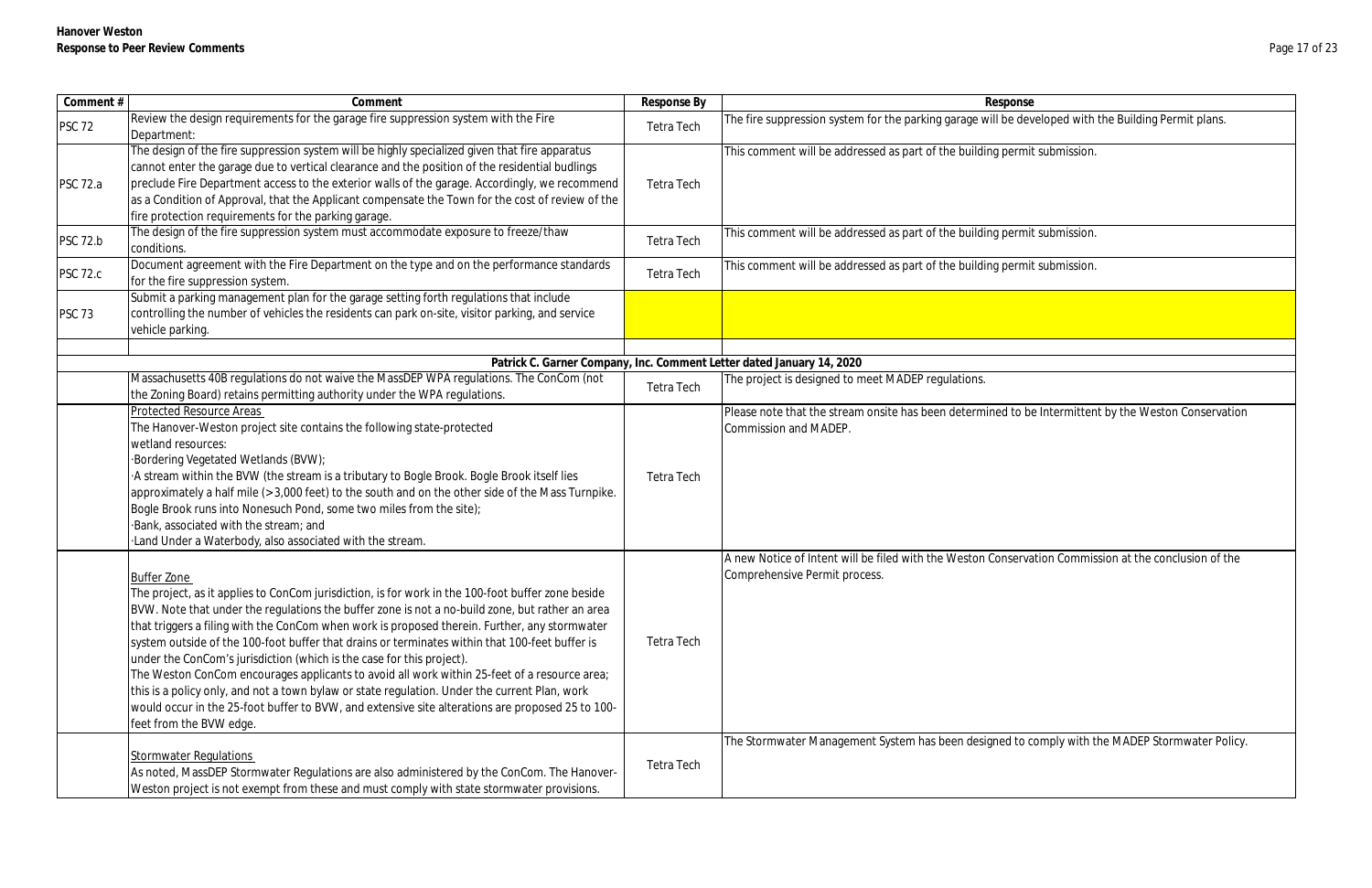| Comment #       | Comment                                                                                                                                                                                                                                                                                                                                                                                                                                                                                                                                                                                                                                                                                                                                                                                                                                | Response By | Response                                                                                                                             |
|-----------------|----------------------------------------------------------------------------------------------------------------------------------------------------------------------------------------------------------------------------------------------------------------------------------------------------------------------------------------------------------------------------------------------------------------------------------------------------------------------------------------------------------------------------------------------------------------------------------------------------------------------------------------------------------------------------------------------------------------------------------------------------------------------------------------------------------------------------------------|-------------|--------------------------------------------------------------------------------------------------------------------------------------|
| <b>PSC 72</b>   | Review the design requirements for the garage fire suppression system with the Fire<br>Department:                                                                                                                                                                                                                                                                                                                                                                                                                                                                                                                                                                                                                                                                                                                                     | Tetra Tech  | The fire suppression system for the parking garage will be developed with the Building Permit plans.                                 |
| <b>PSC 72.a</b> | The design of the fire suppression system will be highly specialized given that fire apparatus<br>cannot enter the garage due to vertical clearance and the position of the residential budlings<br>preclude Fire Department access to the exterior walls of the garage. Accordingly, we recommend<br>as a Condition of Approval, that the Applicant compensate the Town for the cost of review of the<br>fire protection requirements for the parking garage.                                                                                                                                                                                                                                                                                                                                                                         | Tetra Tech  | This comment will be addressed as part of the building permit submission.                                                            |
| <b>PSC 72.b</b> | The design of the fire suppression system must accommodate exposure to freeze/thaw<br>conditions.                                                                                                                                                                                                                                                                                                                                                                                                                                                                                                                                                                                                                                                                                                                                      | Tetra Tech  | This comment will be addressed as part of the building permit submission.                                                            |
| <b>PSC 72.c</b> | Document agreement with the Fire Department on the type and on the performance standards<br>for the fire suppression system.                                                                                                                                                                                                                                                                                                                                                                                                                                                                                                                                                                                                                                                                                                           | Tetra Tech  | This comment will be addressed as part of the building permit submission.                                                            |
| <b>PSC 73</b>   | Submit a parking management plan for the garage setting forth regulations that include<br>controlling the number of vehicles the residents can park on-site, visitor parking, and service<br>vehicle parking.                                                                                                                                                                                                                                                                                                                                                                                                                                                                                                                                                                                                                          |             |                                                                                                                                      |
|                 |                                                                                                                                                                                                                                                                                                                                                                                                                                                                                                                                                                                                                                                                                                                                                                                                                                        |             | Patrick C. Garner Company, Inc. Comment Letter dated January 14, 2020                                                                |
|                 | Massachusetts 40B regulations do not waive the MassDEP WPA regulations. The ConCom (not<br>the Zoning Board) retains permitting authority under the WPA regulations.                                                                                                                                                                                                                                                                                                                                                                                                                                                                                                                                                                                                                                                                   | Tetra Tech  | The project is designed to meet MADEP regulations.                                                                                   |
|                 | <b>Protected Resource Areas</b><br>The Hanover-Weston project site contains the following state-protected<br>wetland resources:<br>Bordering Vegetated Wetlands (BVW);<br>A stream within the BVW (the stream is a tributary to Bogle Brook. Bogle Brook itself lies<br>approximately a half mile (> 3,000 feet) to the south and on the other side of the Mass Turnpike.<br>Bogle Brook runs into Nonesuch Pond, some two miles from the site);<br>Bank, associated with the stream; and<br>Land Under a Waterbody, also associated with the stream.                                                                                                                                                                                                                                                                                  | Tetra Tech  | Please note that the stream onsite has been determined to be Intermittent by the Weston Conserva<br>Commission and MADEP.            |
|                 | <b>Buffer Zone</b><br>The project, as it applies to ConCom jurisdiction, is for work in the 100-foot buffer zone beside<br>BVW. Note that under the regulations the buffer zone is not a no-build zone, but rather an area<br>that triggers a filing with the ConCom when work is proposed therein. Further, any stormwater<br>system outside of the 100-foot buffer that drains or terminates within that 100-feet buffer is<br>under the ConCom's jurisdiction (which is the case for this project).<br>The Weston ConCom encourages applicants to avoid all work within 25-feet of a resource area;<br>this is a policy only, and not a town bylaw or state regulation. Under the current Plan, work<br>would occur in the 25-foot buffer to BVW, and extensive site alterations are proposed 25 to 100-<br>feet from the BVW edge. | Tetra Tech  | A new Notice of Intent will be filed with the Weston Conservation Commission at the conclusion of t<br>Comprehensive Permit process. |
|                 | <b>Stormwater Regulations</b><br>As noted, MassDEP Stormwater Regulations are also administered by the ConCom. The Hanover-<br>Weston project is not exempt from these and must comply with state stormwater provisions.                                                                                                                                                                                                                                                                                                                                                                                                                                                                                                                                                                                                               | Tetra Tech  | The Stormwater Management System has been designed to comply with the MADEP Stormwater Po                                            |

| $\sim$<br>$\sim$<br>$\sim$ |  |
|----------------------------|--|
|                            |  |

d to be Intermittent by the Weston Conservation

nservation Commission at the conclusion of the

ed to comply with the MADEP Stormwater Policy.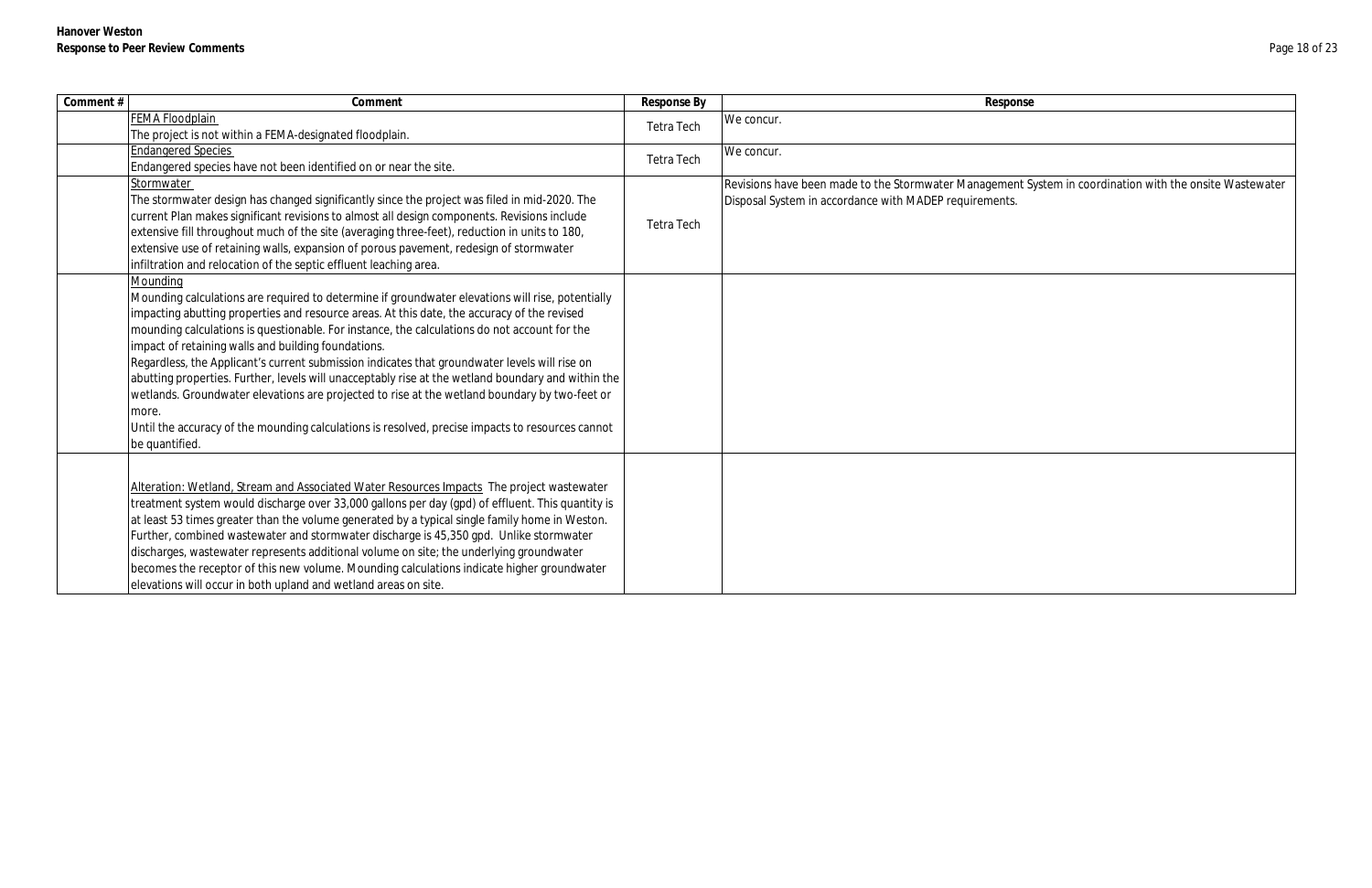| Comment # | Comment                                                                                                                                                                                                                                                                                                                                                                                                                                                                                                                                                                                                                                                                                                                                                                                                   | Response By       | Response                                                                                                          |
|-----------|-----------------------------------------------------------------------------------------------------------------------------------------------------------------------------------------------------------------------------------------------------------------------------------------------------------------------------------------------------------------------------------------------------------------------------------------------------------------------------------------------------------------------------------------------------------------------------------------------------------------------------------------------------------------------------------------------------------------------------------------------------------------------------------------------------------|-------------------|-------------------------------------------------------------------------------------------------------------------|
|           | <b>FEMA Floodplain</b><br>The project is not within a FEMA-designated floodplain.                                                                                                                                                                                                                                                                                                                                                                                                                                                                                                                                                                                                                                                                                                                         | Tetra Tech        | We concur.                                                                                                        |
|           | <b>Endangered Species</b><br>Endangered species have not been identified on or near the site.                                                                                                                                                                                                                                                                                                                                                                                                                                                                                                                                                                                                                                                                                                             | <b>Tetra Tech</b> | We concur.                                                                                                        |
|           | Stormwater<br>The stormwater design has changed significantly since the project was filed in mid-2020. The<br>current Plan makes significant revisions to almost all design components. Revisions include<br>extensive fill throughout much of the site (averaging three-feet), reduction in units to 180,<br>extensive use of retaining walls, expansion of porous pavement, redesign of stormwater<br>infiltration and relocation of the septic effluent leaching area.                                                                                                                                                                                                                                                                                                                                 | Tetra Tech        | Revisions have been made to the Stormwater Management S<br>Disposal System in accordance with MADEP requirements. |
|           | Mounding<br>Mounding calculations are required to determine if groundwater elevations will rise, potentially<br>impacting abutting properties and resource areas. At this date, the accuracy of the revised<br>mounding calculations is questionable. For instance, the calculations do not account for the<br>impact of retaining walls and building foundations.<br>Regardless, the Applicant's current submission indicates that groundwater levels will rise on<br>abutting properties. Further, levels will unacceptably rise at the wetland boundary and within the<br>wetlands. Groundwater elevations are projected to rise at the wetland boundary by two-feet or<br>more.<br>Until the accuracy of the mounding calculations is resolved, precise impacts to resources cannot<br>be quantified. |                   |                                                                                                                   |
|           | Alteration: Wetland, Stream and Associated Water Resources Impacts The project wastewater<br>treatment system would discharge over 33,000 gallons per day (gpd) of effluent. This quantity is<br>at least 53 times greater than the volume generated by a typical single family home in Weston.<br>Further, combined wastewater and stormwater discharge is 45,350 gpd. Unlike stormwater<br>discharges, wastewater represents additional volume on site; the underlying groundwater<br>becomes the receptor of this new volume. Mounding calculations indicate higher groundwater<br>elevations will occur in both upland and wetland areas on site.                                                                                                                                                     |                   |                                                                                                                   |

ment System in coordination with the onsite Wastewater<br>nts.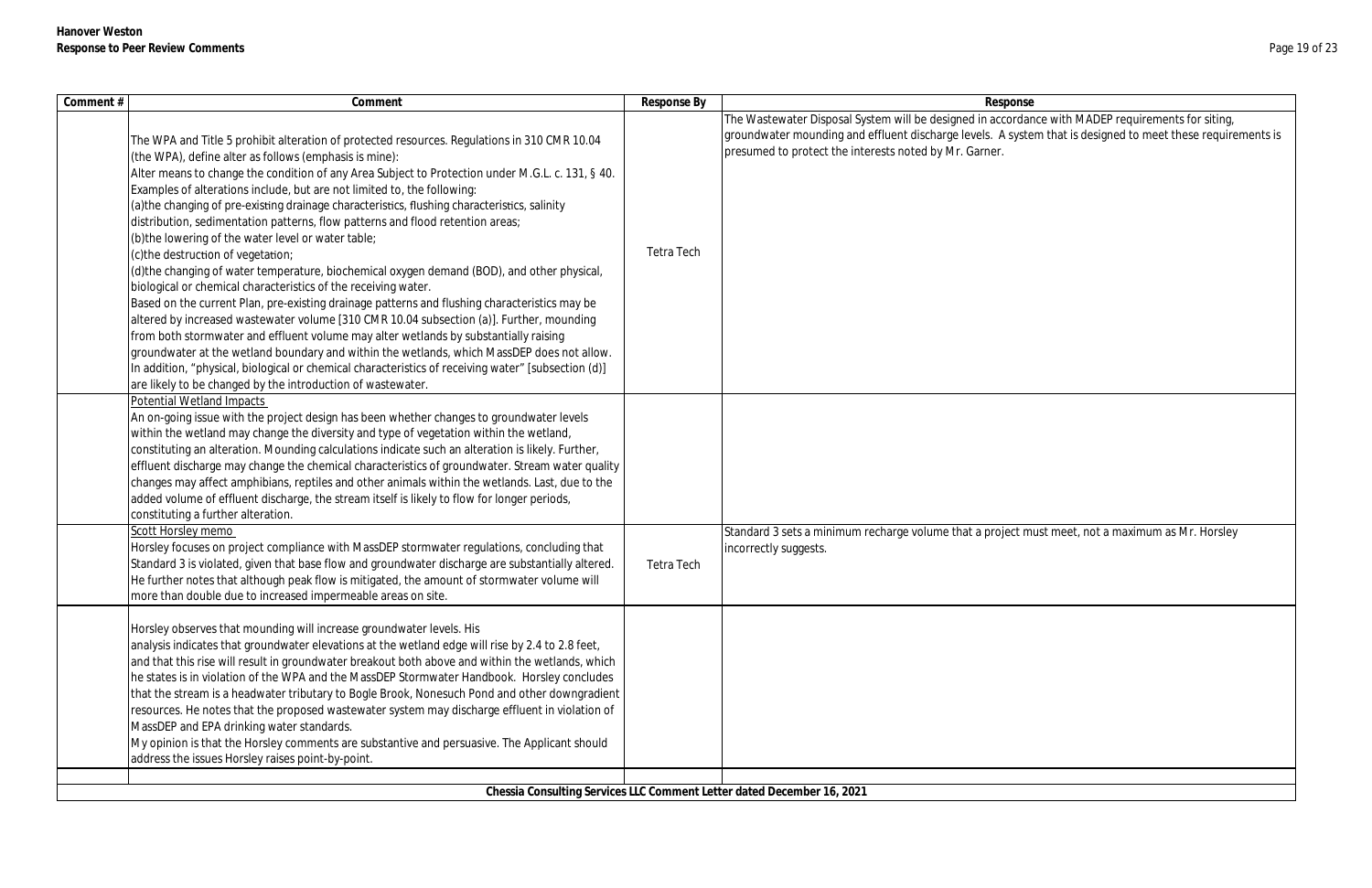| Comment # | Comment                                                                                                                                                                                                                                                                                                                                                                                                                                                                                                                                                                                                                                                                                                                                                                                                                                                                                                                                                                                                                                                                                                                                                                                                                                                                                                                                        | Response By | Response                                                                                                                                                                                                                                                                   |
|-----------|------------------------------------------------------------------------------------------------------------------------------------------------------------------------------------------------------------------------------------------------------------------------------------------------------------------------------------------------------------------------------------------------------------------------------------------------------------------------------------------------------------------------------------------------------------------------------------------------------------------------------------------------------------------------------------------------------------------------------------------------------------------------------------------------------------------------------------------------------------------------------------------------------------------------------------------------------------------------------------------------------------------------------------------------------------------------------------------------------------------------------------------------------------------------------------------------------------------------------------------------------------------------------------------------------------------------------------------------|-------------|----------------------------------------------------------------------------------------------------------------------------------------------------------------------------------------------------------------------------------------------------------------------------|
|           | The WPA and Title 5 prohibit alteration of protected resources. Regulations in 310 CMR 10.04<br>(the WPA), define alter as follows (emphasis is mine):<br>Alter means to change the condition of any Area Subject to Protection under M.G.L. c. 131, § 40.<br>Examples of alterations include, but are not limited to, the following:<br>(a) the changing of pre-existing drainage characteristics, flushing characteristics, salinity<br>distribution, sedimentation patterns, flow patterns and flood retention areas;<br>(b) the lowering of the water level or water table;<br>c) the destruction of vegetation;<br>(d) the changing of water temperature, biochemical oxygen demand (BOD), and other physical,<br>biological or chemical characteristics of the receiving water.<br>Based on the current Plan, pre-existing drainage patterns and flushing characteristics may be<br>altered by increased wastewater volume [310 CMR 10.04 subsection (a)]. Further, mounding<br>from both stormwater and effluent volume may alter wetlands by substantially raising<br>groundwater at the wetland boundary and within the wetlands, which MassDEP does not allow.<br>In addition, "physical, biological or chemical characteristics of receiving water" [subsection (d)]<br>are likely to be changed by the introduction of wastewater. | Tetra Tech  | The Wastewater Disposal System will be designed in accordance with MADEP requirements for siting,<br>groundwater mounding and effluent discharge levels. A system that is designed to meet these requirements is<br>presumed to protect the interests noted by Mr. Garner. |
|           | <b>Potential Wetland Impacts</b><br>An on-going issue with the project design has been whether changes to groundwater levels<br>within the wetland may change the diversity and type of vegetation within the wetland,<br>constituting an alteration. Mounding calculations indicate such an alteration is likely. Further,<br>effluent discharge may change the chemical characteristics of groundwater. Stream water quality<br>hanges may affect amphibians, reptiles and other animals within the wetlands. Last, due to the<br>added volume of effluent discharge, the stream itself is likely to flow for longer periods,<br>constituting a further alteration.                                                                                                                                                                                                                                                                                                                                                                                                                                                                                                                                                                                                                                                                          |             |                                                                                                                                                                                                                                                                            |
|           | Scott Horsley memo<br>Horsley focuses on project compliance with MassDEP stormwater regulations, concluding that<br>Standard 3 is violated, given that base flow and groundwater discharge are substantially altered.<br>He further notes that although peak flow is mitigated, the amount of stormwater volume will<br>more than double due to increased impermeable areas on site.                                                                                                                                                                                                                                                                                                                                                                                                                                                                                                                                                                                                                                                                                                                                                                                                                                                                                                                                                           | Tetra Tech  | Standard 3 sets a minimum recharge volume that a project must meet, not a maximum as Mr. Horsley<br>incorrectly suggests.                                                                                                                                                  |
|           | Horsley observes that mounding will increase groundwater levels. His<br>analysis indicates that groundwater elevations at the wetland edge will rise by 2.4 to 2.8 feet,<br>and that this rise will result in groundwater breakout both above and within the wetlands, which<br>he states is in violation of the WPA and the MassDEP Stormwater Handbook. Horsley concludes<br>that the stream is a headwater tributary to Bogle Brook, Nonesuch Pond and other downgradient<br>resources. He notes that the proposed wastewater system may discharge effluent in violation of<br>MassDEP and EPA drinking water standards.<br>My opinion is that the Horsley comments are substantive and persuasive. The Applicant should<br>address the issues Horsley raises point-by-point.                                                                                                                                                                                                                                                                                                                                                                                                                                                                                                                                                               |             |                                                                                                                                                                                                                                                                            |
|           |                                                                                                                                                                                                                                                                                                                                                                                                                                                                                                                                                                                                                                                                                                                                                                                                                                                                                                                                                                                                                                                                                                                                                                                                                                                                                                                                                |             |                                                                                                                                                                                                                                                                            |
|           |                                                                                                                                                                                                                                                                                                                                                                                                                                                                                                                                                                                                                                                                                                                                                                                                                                                                                                                                                                                                                                                                                                                                                                                                                                                                                                                                                |             | Chessia Consulting Services LLC Comment Letter dated December 16, 2021                                                                                                                                                                                                     |

| esponse                                                 |
|---------------------------------------------------------|
| accordance with MADEP requirements for siting,          |
| A system that is designed to meet these requirements is |
| er.                                                     |
|                                                         |
|                                                         |
|                                                         |
|                                                         |
|                                                         |
|                                                         |
|                                                         |
|                                                         |
|                                                         |
|                                                         |
|                                                         |
|                                                         |
|                                                         |
|                                                         |
|                                                         |
|                                                         |
|                                                         |
|                                                         |
|                                                         |
| roject must meet, not a maximum as Mr. Horsley          |
|                                                         |
|                                                         |
|                                                         |
|                                                         |
|                                                         |
|                                                         |
|                                                         |
|                                                         |
|                                                         |
|                                                         |
|                                                         |
|                                                         |
|                                                         |
|                                                         |
|                                                         |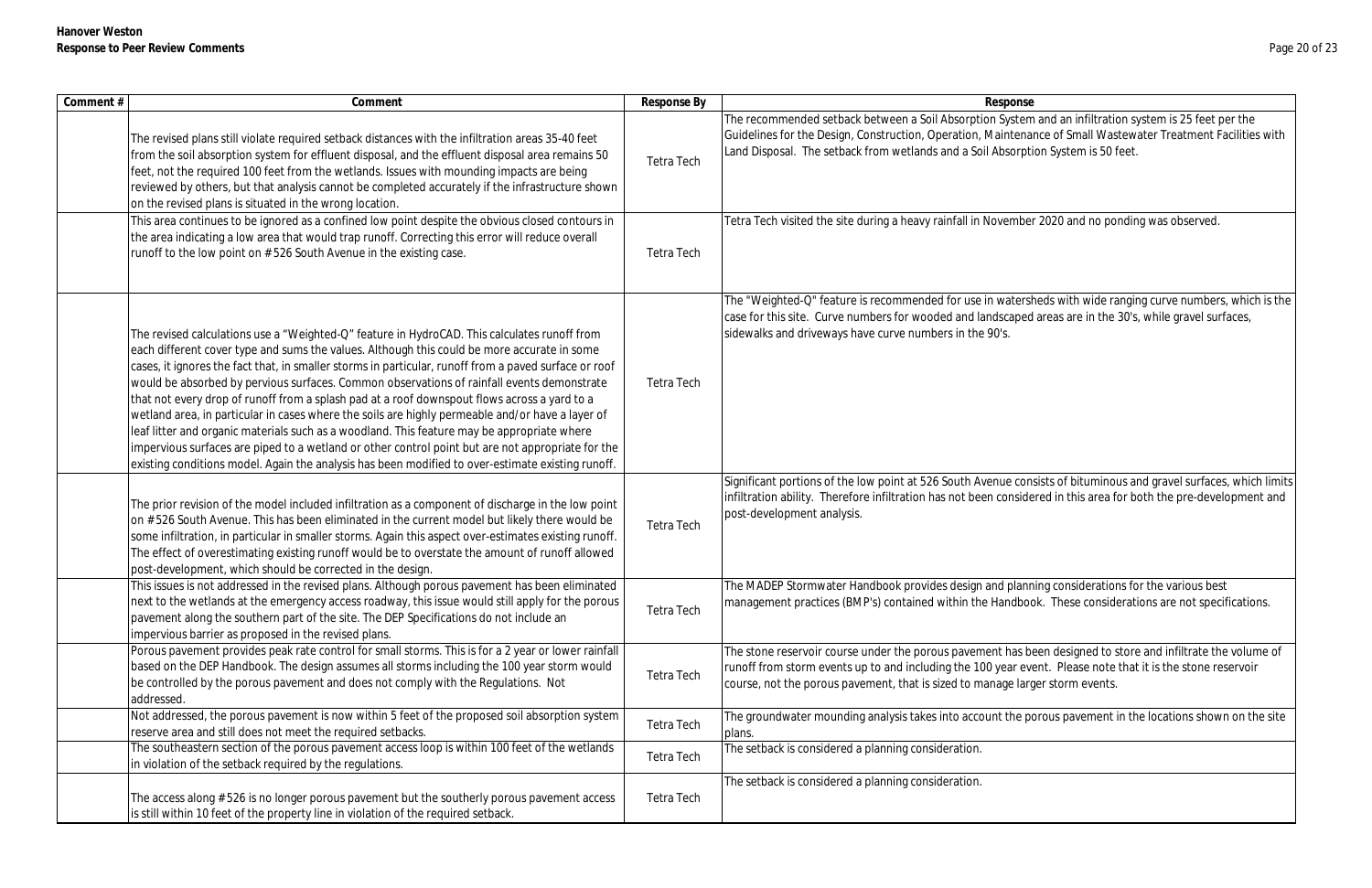| The "Weighted-Q" feature is recommended for use in watersheds with wide ranging curve numbers, which is the |
|-------------------------------------------------------------------------------------------------------------|
| case for this site. Curve numbers for wooded and landscaped areas are in the 30's, while gravel surfaces,   |
| sidewalks and driveways have curve numbers in the 90's.                                                     |

Je consists of bituminous and gravel surfaces, which limits onsidered in this area for both the pre-development and

I planning considerations for the various best andbook. These considerations are not specifications.

has been designed to store and infiltrate the volume of ear event. Please note that it is the stone reservoir ge larger storm events.

the porous pavement in the locations shown on the site

| Comment # | Comment                                                                                                                                                                                                                                                                                                                                                                                                                                                                                                                                                                                                                                                                                                                                                                                                                                                                                                         | Response By       | Response                                                                                                                                                                                                                                                                                              |
|-----------|-----------------------------------------------------------------------------------------------------------------------------------------------------------------------------------------------------------------------------------------------------------------------------------------------------------------------------------------------------------------------------------------------------------------------------------------------------------------------------------------------------------------------------------------------------------------------------------------------------------------------------------------------------------------------------------------------------------------------------------------------------------------------------------------------------------------------------------------------------------------------------------------------------------------|-------------------|-------------------------------------------------------------------------------------------------------------------------------------------------------------------------------------------------------------------------------------------------------------------------------------------------------|
|           | The revised plans still violate required setback distances with the infiltration areas 35-40 feet<br>from the soil absorption system for effluent disposal, and the effluent disposal area remains 50<br>feet, not the required 100 feet from the wetlands. Issues with mounding impacts are being<br>reviewed by others, but that analysis cannot be completed accurately if the infrastructure shown<br>on the revised plans is situated in the wrong location.                                                                                                                                                                                                                                                                                                                                                                                                                                               | <b>Tetra Tech</b> | The recommended setback between a Soil Absorption System and an infiltration system is 25 feet per the<br>Guidelines for the Design, Construction, Operation, Maintenance of Small Wastewater Treatment Faciliti<br>Land Disposal. The setback from wetlands and a Soil Absorption System is 50 feet. |
|           | This area continues to be ignored as a confined low point despite the obvious closed contours in<br>the area indicating a low area that would trap runoff. Correcting this error will reduce overall<br>runoff to the low point on #526 South Avenue in the existing case.                                                                                                                                                                                                                                                                                                                                                                                                                                                                                                                                                                                                                                      | <b>Tetra Tech</b> | Tetra Tech visited the site during a heavy rainfall in November 2020 and no ponding was observed.                                                                                                                                                                                                     |
|           | The revised calculations use a "Weighted-Q" feature in HydroCAD. This calculates runoff from<br>each different cover type and sums the values. Although this could be more accurate in some<br>cases, it ignores the fact that, in smaller storms in particular, runoff from a paved surface or roof<br>would be absorbed by pervious surfaces. Common observations of rainfall events demonstrate<br>that not every drop of runoff from a splash pad at a roof downspout flows across a yard to a<br>wetland area, in particular in cases where the soils are highly permeable and/or have a layer of<br>leaf litter and organic materials such as a woodland. This feature may be appropriate where<br>impervious surfaces are piped to a wetland or other control point but are not appropriate for the<br>existing conditions model. Again the analysis has been modified to over-estimate existing runoff. | <b>Tetra Tech</b> | The "Weighted-Q" feature is recommended for use in watersheds with wide ranging curve numbers, whi<br>case for this site. Curve numbers for wooded and landscaped areas are in the 30's, while gravel surfaces,<br>sidewalks and driveways have curve numbers in the 90's.                            |
|           | The prior revision of the model included infiltration as a component of discharge in the low point<br>on #526 South Avenue. This has been eliminated in the current model but likely there would be<br>some infiltration, in particular in smaller storms. Again this aspect over-estimates existing runoff.<br>The effect of overestimating existing runoff would be to overstate the amount of runoff allowed<br>post-development, which should be corrected in the design.                                                                                                                                                                                                                                                                                                                                                                                                                                   | Tetra Tech        | Significant portions of the low point at 526 South Avenue consists of bituminous and gravel surfaces, whi<br>infiltration ability. Therefore infiltration has not been considered in this area for both the pre-developme<br>post-development analysis.                                               |
|           | This issues is not addressed in the revised plans. Although porous pavement has been eliminated<br>next to the wetlands at the emergency access roadway, this issue would still apply for the porous<br>pavement along the southern part of the site. The DEP Specifications do not include an<br>impervious barrier as proposed in the revised plans.                                                                                                                                                                                                                                                                                                                                                                                                                                                                                                                                                          | Tetra Tech        | The MADEP Stormwater Handbook provides design and planning considerations for the various best<br>management practices (BMP's) contained within the Handbook. These considerations are not specificati                                                                                                |
|           | Porous pavement provides peak rate control for small storms. This is for a 2 year or lower rainfall<br>based on the DEP Handbook. The design assumes all storms including the 100 year storm would<br>be controlled by the porous pavement and does not comply with the Regulations. Not<br>addressed.                                                                                                                                                                                                                                                                                                                                                                                                                                                                                                                                                                                                          | Tetra Tech        | The stone reservoir course under the porous pavement has been designed to store and infiltrate the volu<br>runoff from storm events up to and including the 100 year event. Please note that it is the stone reservo<br>course, not the porous pavement, that is sized to manage larger storm events. |
|           | Not addressed, the porous pavement is now within 5 feet of the proposed soil absorption system<br>reserve area and still does not meet the required setbacks.                                                                                                                                                                                                                                                                                                                                                                                                                                                                                                                                                                                                                                                                                                                                                   | Tetra Tech        | The groundwater mounding analysis takes into account the porous pavement in the locations shown on t<br>plans.                                                                                                                                                                                        |
|           | The southeastern section of the porous pavement access loop is within 100 feet of the wetlands<br>in violation of the setback required by the regulations.                                                                                                                                                                                                                                                                                                                                                                                                                                                                                                                                                                                                                                                                                                                                                      | Tetra Tech        | The setback is considered a planning consideration.                                                                                                                                                                                                                                                   |
|           | The access along # 526 is no longer porous pavement but the southerly porous pavement access<br>is still within 10 feet of the property line in violation of the required setback.                                                                                                                                                                                                                                                                                                                                                                                                                                                                                                                                                                                                                                                                                                                              | Tetra Tech        | The setback is considered a planning consideration.                                                                                                                                                                                                                                                   |

System and an infiltration system is 25 feet per the intenance of Small Wastewater Treatment Facilities with baorption System is 50 feet.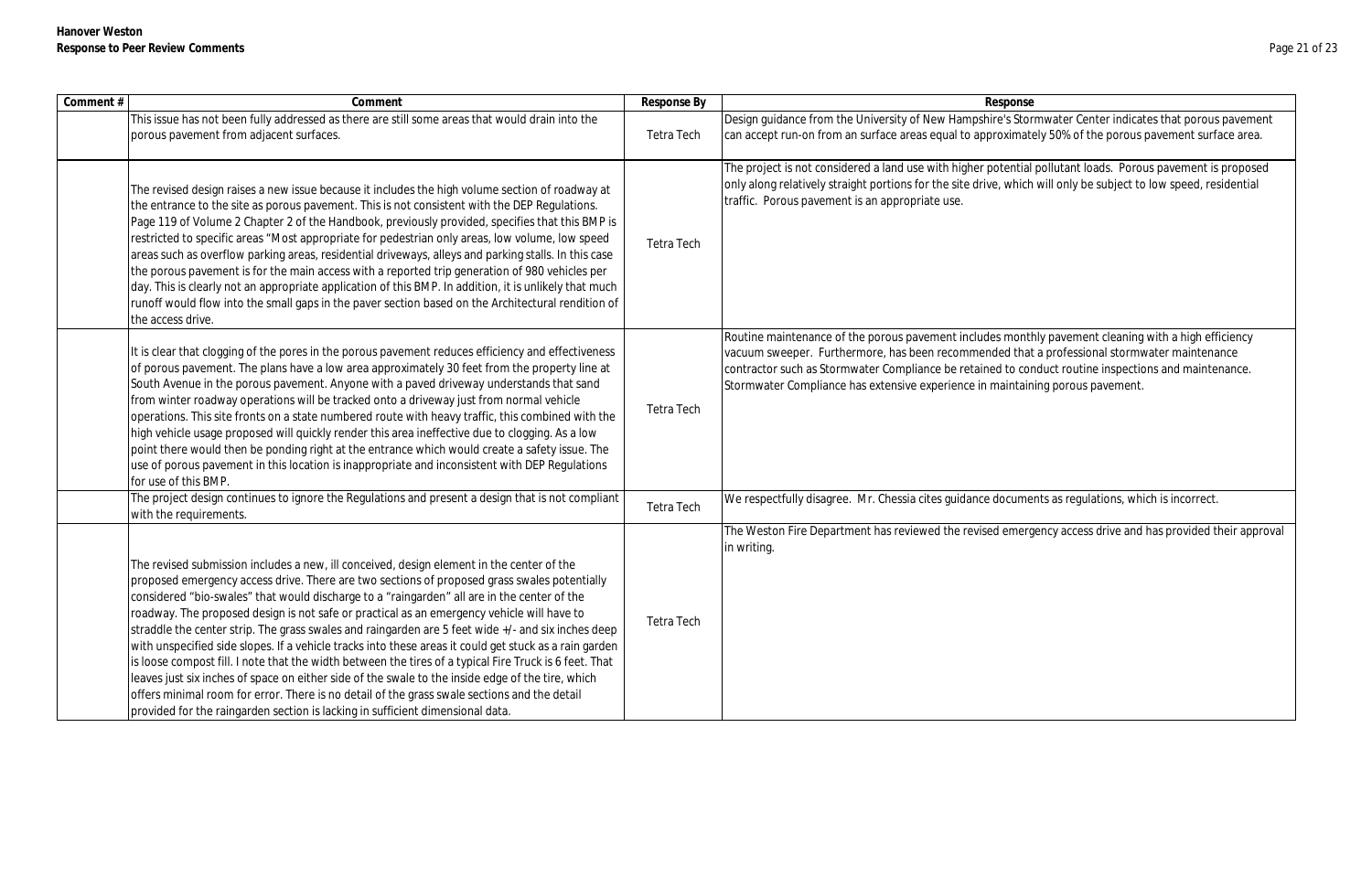| Comment # | Comment                                                                                                                                                                                                                                                                                                                                                                                                                                                                                                                                                                                                                                                                                                                                                                                                                                                                                                                                                                                                 | Response By | Response                                                                                                                                                                                                                                                                                                                                                                       |
|-----------|---------------------------------------------------------------------------------------------------------------------------------------------------------------------------------------------------------------------------------------------------------------------------------------------------------------------------------------------------------------------------------------------------------------------------------------------------------------------------------------------------------------------------------------------------------------------------------------------------------------------------------------------------------------------------------------------------------------------------------------------------------------------------------------------------------------------------------------------------------------------------------------------------------------------------------------------------------------------------------------------------------|-------------|--------------------------------------------------------------------------------------------------------------------------------------------------------------------------------------------------------------------------------------------------------------------------------------------------------------------------------------------------------------------------------|
|           | This issue has not been fully addressed as there are still some areas that would drain into the<br>porous pavement from adjacent surfaces.                                                                                                                                                                                                                                                                                                                                                                                                                                                                                                                                                                                                                                                                                                                                                                                                                                                              | Tetra Tech  | Design guidance from the University of New Hampshire's Stormwater Center indicates that porous<br>can accept run-on from an surface areas equal to approximately 50% of the porous pavement surf                                                                                                                                                                               |
|           | The revised design raises a new issue because it includes the high volume section of roadway at<br>the entrance to the site as porous pavement. This is not consistent with the DEP Regulations.<br>Page 119 of Volume 2 Chapter 2 of the Handbook, previously provided, specifies that this BMP is<br>restricted to specific areas "Most appropriate for pedestrian only areas, low volume, low speed<br>areas such as overflow parking areas, residential driveways, alleys and parking stalls. In this case<br>the porous pavement is for the main access with a reported trip generation of 980 vehicles per<br>day. This is clearly not an appropriate application of this BMP. In addition, it is unlikely that much<br>runoff would flow into the small gaps in the paver section based on the Architectural rendition of<br>the access drive.                                                                                                                                                   | Tetra Tech  | The project is not considered a land use with higher potential pollutant loads. Porous pavement is<br>only along relatively straight portions for the site drive, which will only be subject to low speed, res<br>traffic. Porous pavement is an appropriate use.                                                                                                              |
|           | It is clear that clogging of the pores in the porous pavement reduces efficiency and effectiveness<br>of porous pavement. The plans have a low area approximately 30 feet from the property line at<br>South Avenue in the porous pavement. Anyone with a paved driveway understands that sand<br>from winter roadway operations will be tracked onto a driveway just from normal vehicle<br>operations. This site fronts on a state numbered route with heavy traffic, this combined with the<br>high vehicle usage proposed will quickly render this area ineffective due to clogging. As a low<br>point there would then be ponding right at the entrance which would create a safety issue. The<br>use of porous pavement in this location is inappropriate and inconsistent with DEP Regulations<br>for use of this BMP.                                                                                                                                                                           | Tetra Tech  | Routine maintenance of the porous pavement includes monthly pavement cleaning with a high eff<br>vacuum sweeper. Furthermore, has been recommended that a professional stormwater maintena<br>contractor such as Stormwater Compliance be retained to conduct routine inspections and mainte<br>Stormwater Compliance has extensive experience in maintaining porous pavement. |
|           | The project design continues to ignore the Regulations and present a design that is not compliant<br>with the requirements.                                                                                                                                                                                                                                                                                                                                                                                                                                                                                                                                                                                                                                                                                                                                                                                                                                                                             | Tetra Tech  | We respectfully disagree. Mr. Chessia cites guidance documents as regulations, which is incorrect.                                                                                                                                                                                                                                                                             |
|           | The revised submission includes a new, ill conceived, design element in the center of the<br>proposed emergency access drive. There are two sections of proposed grass swales potentially<br>considered "bio-swales" that would discharge to a "raingarden" all are in the center of the<br>roadway. The proposed design is not safe or practical as an emergency vehicle will have to<br>straddle the center strip. The grass swales and raingarden are 5 feet wide +/- and six inches deep<br>with unspecified side slopes. If a vehicle tracks into these areas it could get stuck as a rain garden<br>is loose compost fill. I note that the width between the tires of a typical Fire Truck is 6 feet. That<br>leaves just six inches of space on either side of the swale to the inside edge of the tire, which<br>offers minimal room for error. There is no detail of the grass swale sections and the detail<br>provided for the raingarden section is lacking in sufficient dimensional data. | Tetra Tech  | The Weston Fire Department has reviewed the revised emergency access drive and has provided t<br>in writing.                                                                                                                                                                                                                                                                   |

's Stormwater Center indicates that porous pavement ximately 50% of the porous pavement surface area.

tential pollutant loads. Porous pavement is proposed which will only be subject to low speed, residential

monthly pavement cleaning with a high efficiency ed that a professional stormwater maintenance to conduct routine inspections and maintenance. aintaining porous pavement.

emergency access drive and has provided their approval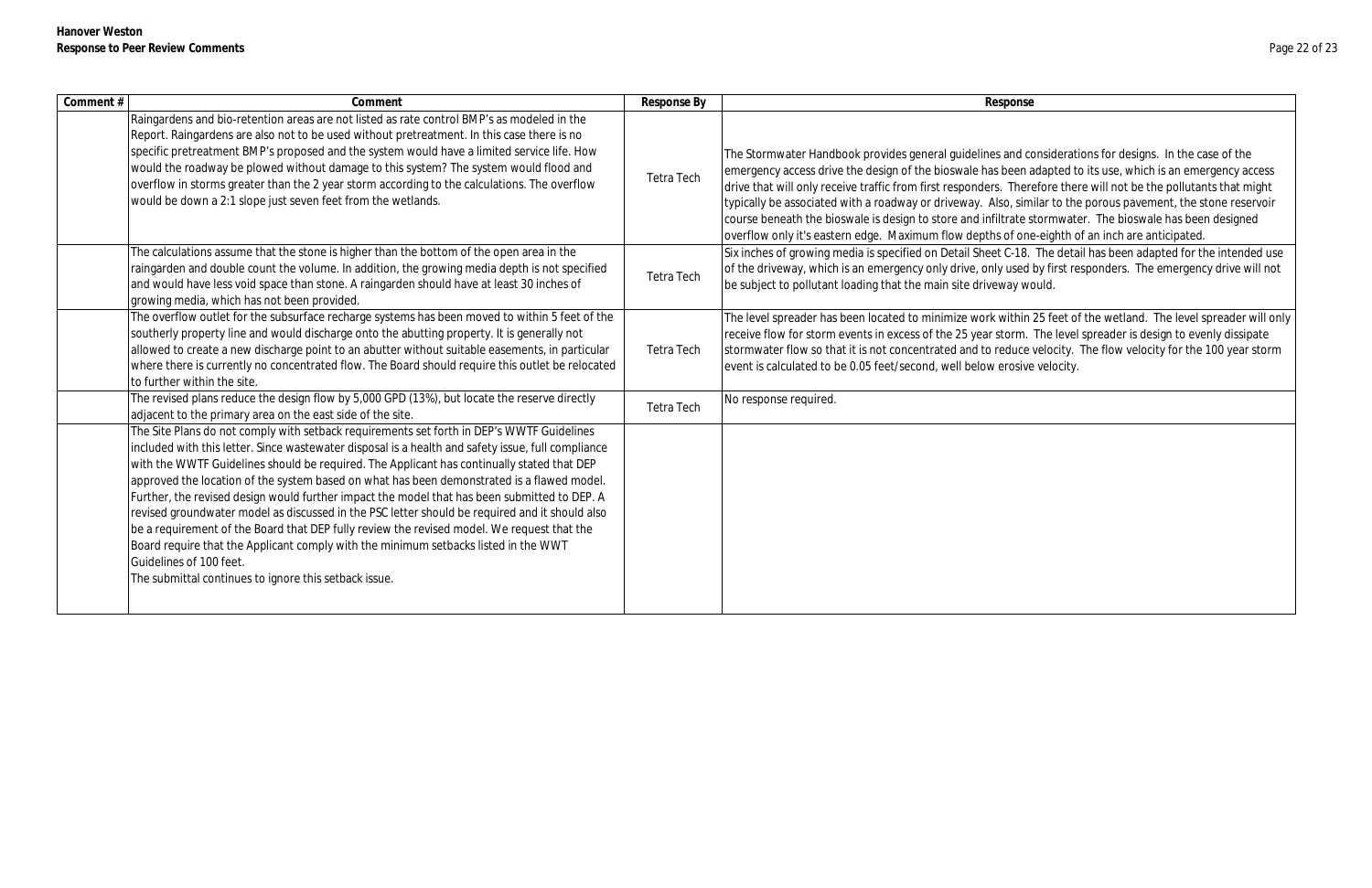| Comment # | Comment                                                                                                                                                                                                                                                                                                                                                                                                                                                                                                                                                                                                                                                                                                                                                                                                                                                                | Response By       | Response                                                                                                                                                                                                                                                                                                                                                                                           |
|-----------|------------------------------------------------------------------------------------------------------------------------------------------------------------------------------------------------------------------------------------------------------------------------------------------------------------------------------------------------------------------------------------------------------------------------------------------------------------------------------------------------------------------------------------------------------------------------------------------------------------------------------------------------------------------------------------------------------------------------------------------------------------------------------------------------------------------------------------------------------------------------|-------------------|----------------------------------------------------------------------------------------------------------------------------------------------------------------------------------------------------------------------------------------------------------------------------------------------------------------------------------------------------------------------------------------------------|
|           | Raingardens and bio-retention areas are not listed as rate control BMP's as modeled in the<br>Report. Raingardens are also not to be used without pretreatment. In this case there is no<br>specific pretreatment BMP's proposed and the system would have a limited service life. How<br>would the roadway be plowed without damage to this system? The system would flood and<br>overflow in storms greater than the 2 year storm according to the calculations. The overflow<br>would be down a 2:1 slope just seven feet from the wetlands.                                                                                                                                                                                                                                                                                                                        | Tetra Tech        | The Stormwater Handbook provides general guidelines and co<br>emergency access drive the design of the bioswale has been a<br>drive that will only receive traffic from first responders. There<br>typically be associated with a roadway or driveway. Also, sim<br>course beneath the bioswale is design to store and infiltrate s<br>overflow only it's eastern edge. Maximum flow depths of one |
|           | The calculations assume that the stone is higher than the bottom of the open area in the<br>raingarden and double count the volume. In addition, the growing media depth is not specified<br>and would have less void space than stone. A raingarden should have at least 30 inches of<br>growing media, which has not been provided.                                                                                                                                                                                                                                                                                                                                                                                                                                                                                                                                  | Tetra Tech        | Six inches of growing media is specified on Detail Sheet C-18.<br>of the driveway, which is an emergency only drive, only used<br>be subject to pollutant loading that the main site driveway wo                                                                                                                                                                                                   |
|           | The overflow outlet for the subsurface recharge systems has been moved to within 5 feet of the<br>southerly property line and would discharge onto the abutting property. It is generally not<br>allowed to create a new discharge point to an abutter without suitable easements, in particular<br>where there is currently no concentrated flow. The Board should require this outlet be relocated<br>to further within the site.                                                                                                                                                                                                                                                                                                                                                                                                                                    | <b>Tetra Tech</b> | The level spreader has been located to minimize work within<br>receive flow for storm events in excess of the 25 year storm.<br>stormwater flow so that it is not concentrated and to reduce<br>event is calculated to be 0.05 feet/second, well below erosive                                                                                                                                     |
|           | The revised plans reduce the design flow by 5,000 GPD (13%), but locate the reserve directly<br>adjacent to the primary area on the east side of the site.                                                                                                                                                                                                                                                                                                                                                                                                                                                                                                                                                                                                                                                                                                             | Tetra Tech        | No response required.                                                                                                                                                                                                                                                                                                                                                                              |
|           | The Site Plans do not comply with setback requirements set forth in DEP's WWTF Guidelines<br>included with this letter. Since wastewater disposal is a health and safety issue, full compliance<br>with the WWTF Guidelines should be required. The Applicant has continually stated that DEP<br>approved the location of the system based on what has been demonstrated is a flawed model.<br>Further, the revised design would further impact the model that has been submitted to DEP. A<br>revised groundwater model as discussed in the PSC letter should be required and it should also<br>be a requirement of the Board that DEP fully review the revised model. We request that the<br>Board require that the Applicant comply with the minimum setbacks listed in the WWT<br>Guidelines of 100 feet.<br>The submittal continues to ignore this setback issue. |                   |                                                                                                                                                                                                                                                                                                                                                                                                    |

and considerations for designs. In the case of the been adapted to its use, which is an emergency access Therefore there will not be the pollutants that might to, similar to the porous pavement, the stone reservoir trate stormwater. The bioswale has been designed of one-eighth of an inch are anticipated.

C-18. The detail has been adapted for the intended use used by first responders. The emergency drive will not vay would.

vithin 25 feet of the wetland. The level spreader will only torm. The level spreader is design to evenly dissipate educe velocity. The flow velocity for the 100 year storm erosive velocity.